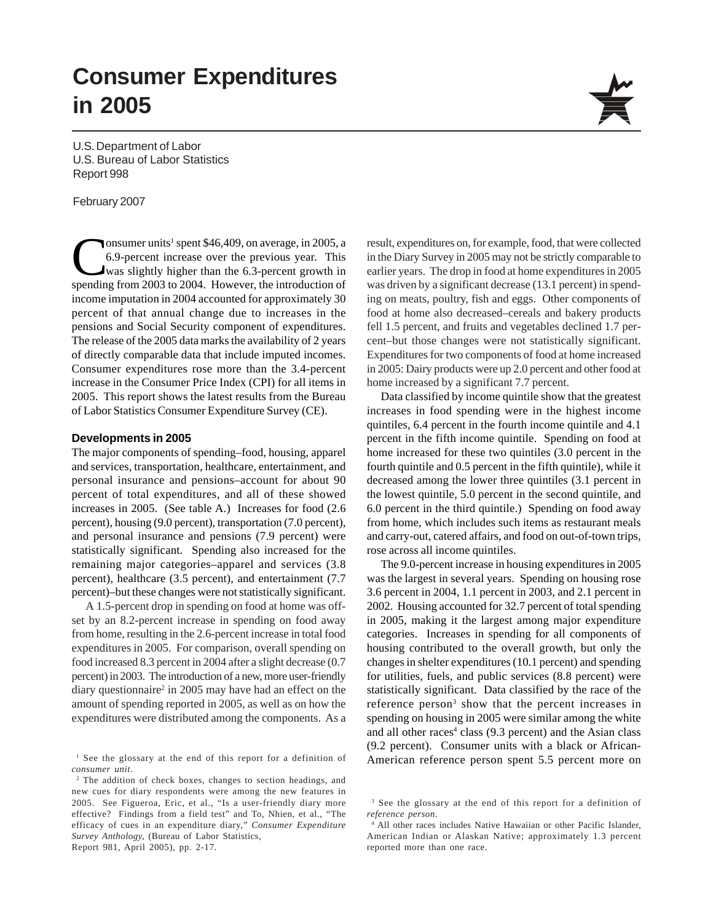# **Consumer Expenditures in 2005**

U.S. Department of Labor U.S. Bureau of Labor Statistics Report 998

#### February 2007

Consumer units<sup>1</sup> spent \$46,409, on average, in 2005, a<br>6.9-percent increase over the previous year. This<br>was slightly higher than the 6.3-percent growth in<br>spending from 2003 to 2004. However the introduction of 6.9-percent increase over the previous year. This was slightly higher than the 6.3-percent growth in spending from 2003 to 2004. However, the introduction of income imputation in 2004 accounted for approximately 30 percent of that annual change due to increases in the pensions and Social Security component of expenditures. The release of the 2005 data marks the availability of 2 years of directly comparable data that include imputed incomes. Consumer expenditures rose more than the 3.4-percent increase in the Consumer Price Index (CPI) for all items in 2005. This report shows the latest results from the Bureau of Labor Statistics Consumer Expenditure Survey (CE).

#### **Developments in 2005**

The major components of spending–food, housing, apparel and services, transportation, healthcare, entertainment, and personal insurance and pensions–account for about 90 percent of total expenditures, and all of these showed increases in 2005. (See table A.) Increases for food (2.6 percent), housing (9.0 percent), transportation (7.0 percent), and personal insurance and pensions (7.9 percent) were statistically significant. Spending also increased for the remaining major categories–apparel and services (3.8 percent), healthcare (3.5 percent), and entertainment (7.7 percent)–but these changes were not statistically significant.

A 1.5-percent drop in spending on food at home was offset by an 8.2-percent increase in spending on food away from home, resulting in the 2.6-percent increase in total food expenditures in 2005. For comparison, overall spending on food increased 8.3 percent in 2004 after a slight decrease (0.7 percent) in 2003. The introduction of a new, more user-friendly diary questionnaire<sup>2</sup> in 2005 may have had an effect on the amount of spending reported in 2005, as well as on how the expenditures were distributed among the components. As a

Report 981, April 2005), pp. 2-17.



Data classified by income quintile show that the greatest increases in food spending were in the highest income quintiles, 6.4 percent in the fourth income quintile and 4.1 percent in the fifth income quintile. Spending on food at home increased for these two quintiles (3.0 percent in the fourth quintile and 0.5 percent in the fifth quintile), while it decreased among the lower three quintiles (3.1 percent in the lowest quintile, 5.0 percent in the second quintile, and 6.0 percent in the third quintile.) Spending on food away from home, which includes such items as restaurant meals and carry-out, catered affairs, and food on out-of-town trips, rose across all income quintiles.

The 9.0-percent increase in housing expenditures in 2005 was the largest in several years. Spending on housing rose 3.6 percent in 2004, 1.1 percent in 2003, and 2.1 percent in 2002. Housing accounted for 32.7 percent of total spending in 2005, making it the largest among major expenditure categories. Increases in spending for all components of housing contributed to the overall growth, but only the changes in shelter expenditures (10.1 percent) and spending for utilities, fuels, and public services (8.8 percent) were statistically significant. Data classified by the race of the reference person<sup>3</sup> show that the percent increases in spending on housing in 2005 were similar among the white and all other races<sup>4</sup> class (9.3 percent) and the Asian class (9.2 percent). Consumer units with a black or African-American reference person spent 5.5 percent more on



<sup>&</sup>lt;sup>1</sup> See the glossary at the end of this report for a definition of *consumer unit*.

<sup>&</sup>lt;sup>2</sup> The addition of check boxes, changes to section headings, and new cues for diary respondents were among the new features in 2005. See Figueroa, Eric, et al., "Is a user-friendly diary more effective? Findings from a field test" and To, Nhien, et al., "The efficacy of cues in an expenditure diary," *Consumer Expenditure Survey Anthology,* (Bureau of Labor Statistics,

<sup>&</sup>lt;sup>3</sup> See the glossary at the end of this report for a definition of *reference person*.

<sup>4</sup> All other races includes Native Hawaiian or other Pacific Islander, American Indian or Alaskan Native; approximately 1.3 percent reported more than one race.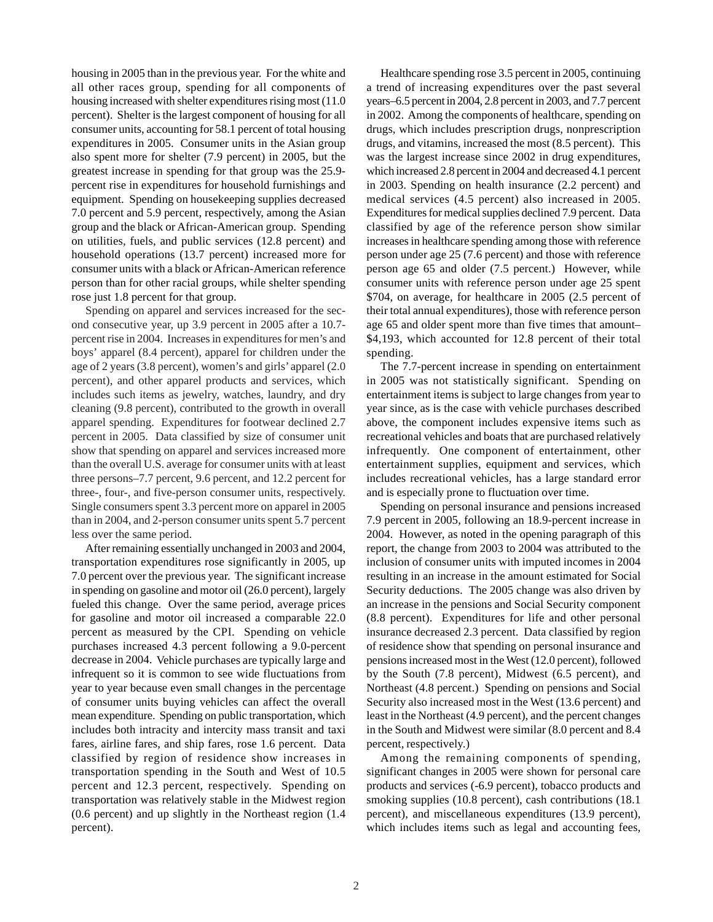housing in 2005 than in the previous year. For the white and all other races group, spending for all components of housing increased with shelter expenditures rising most (11.0 percent). Shelter is the largest component of housing for all consumer units, accounting for 58.1 percent of total housing expenditures in 2005. Consumer units in the Asian group also spent more for shelter (7.9 percent) in 2005, but the greatest increase in spending for that group was the 25.9 percent rise in expenditures for household furnishings and equipment. Spending on housekeeping supplies decreased 7.0 percent and 5.9 percent, respectively, among the Asian group and the black or African-American group. Spending on utilities, fuels, and public services (12.8 percent) and household operations (13.7 percent) increased more for consumer units with a black or African-American reference person than for other racial groups, while shelter spending rose just 1.8 percent for that group.

Spending on apparel and services increased for the second consecutive year, up 3.9 percent in 2005 after a 10.7 percent rise in 2004. Increases in expenditures for men's and boys' apparel (8.4 percent), apparel for children under the age of 2 years (3.8 percent), women's and girls' apparel (2.0 percent), and other apparel products and services, which includes such items as jewelry, watches, laundry, and dry cleaning (9.8 percent), contributed to the growth in overall apparel spending. Expenditures for footwear declined 2.7 percent in 2005. Data classified by size of consumer unit show that spending on apparel and services increased more than the overall U.S. average for consumer units with at least three persons–7.7 percent, 9.6 percent, and 12.2 percent for three-, four-, and five-person consumer units, respectively. Single consumers spent 3.3 percent more on apparel in 2005 than in 2004, and 2-person consumer units spent 5.7 percent less over the same period.

After remaining essentially unchanged in 2003 and 2004, transportation expenditures rose significantly in 2005, up 7.0 percent over the previous year. The significant increase in spending on gasoline and motor oil (26.0 percent), largely fueled this change. Over the same period, average prices for gasoline and motor oil increased a comparable 22.0 percent as measured by the CPI. Spending on vehicle purchases increased 4.3 percent following a 9.0-percent decrease in 2004. Vehicle purchases are typically large and infrequent so it is common to see wide fluctuations from year to year because even small changes in the percentage of consumer units buying vehicles can affect the overall mean expenditure. Spending on public transportation, which includes both intracity and intercity mass transit and taxi fares, airline fares, and ship fares, rose 1.6 percent. Data classified by region of residence show increases in transportation spending in the South and West of 10.5 percent and 12.3 percent, respectively. Spending on transportation was relatively stable in the Midwest region (0.6 percent) and up slightly in the Northeast region (1.4 percent).

Healthcare spending rose 3.5 percent in 2005, continuing a trend of increasing expenditures over the past several years–6.5 percent in 2004, 2.8 percent in 2003, and 7.7 percent in 2002. Among the components of healthcare, spending on drugs, which includes prescription drugs, nonprescription drugs, and vitamins, increased the most (8.5 percent). This was the largest increase since 2002 in drug expenditures, which increased 2.8 percent in 2004 and decreased 4.1 percent in 2003. Spending on health insurance (2.2 percent) and medical services (4.5 percent) also increased in 2005. Expenditures for medical supplies declined 7.9 percent. Data classified by age of the reference person show similar increases in healthcare spending among those with reference person under age 25 (7.6 percent) and those with reference person age 65 and older (7.5 percent.) However, while consumer units with reference person under age 25 spent \$704, on average, for healthcare in 2005 (2.5 percent of their total annual expenditures), those with reference person age 65 and older spent more than five times that amount– \$4,193, which accounted for 12.8 percent of their total spending.

The 7.7-percent increase in spending on entertainment in 2005 was not statistically significant. Spending on entertainment items is subject to large changes from year to year since, as is the case with vehicle purchases described above, the component includes expensive items such as recreational vehicles and boats that are purchased relatively infrequently. One component of entertainment, other entertainment supplies, equipment and services, which includes recreational vehicles, has a large standard error and is especially prone to fluctuation over time.

Spending on personal insurance and pensions increased 7.9 percent in 2005, following an 18.9-percent increase in 2004. However, as noted in the opening paragraph of this report, the change from 2003 to 2004 was attributed to the inclusion of consumer units with imputed incomes in 2004 resulting in an increase in the amount estimated for Social Security deductions. The 2005 change was also driven by an increase in the pensions and Social Security component (8.8 percent). Expenditures for life and other personal insurance decreased 2.3 percent. Data classified by region of residence show that spending on personal insurance and pensions increased most in the West (12.0 percent), followed by the South (7.8 percent), Midwest (6.5 percent), and Northeast (4.8 percent.) Spending on pensions and Social Security also increased most in the West (13.6 percent) and least in the Northeast (4.9 percent), and the percent changes in the South and Midwest were similar (8.0 percent and 8.4 percent, respectively.)

Among the remaining components of spending, significant changes in 2005 were shown for personal care products and services (-6.9 percent), tobacco products and smoking supplies (10.8 percent), cash contributions (18.1 percent), and miscellaneous expenditures (13.9 percent), which includes items such as legal and accounting fees,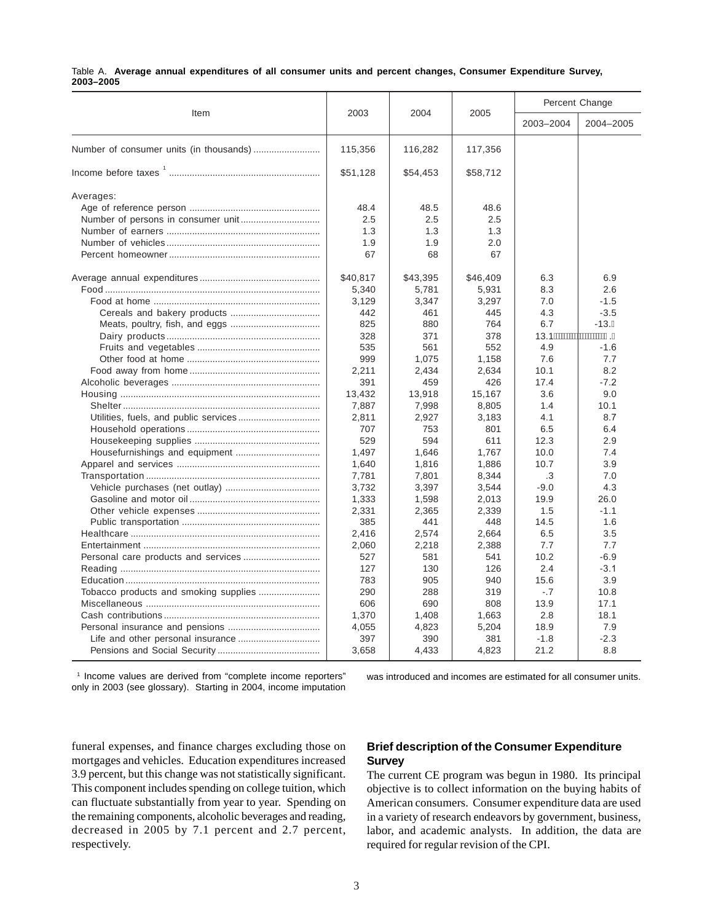|           |  | Table A. Average annual expenditures of all consumer units and percent changes, Consumer Expenditure Survey, |  |  |  |  |  |
|-----------|--|--------------------------------------------------------------------------------------------------------------|--|--|--|--|--|
| 2003-2005 |  |                                                                                                              |  |  |  |  |  |

| Item      | 2003     | 2004     | 2005     |           | Percent Change |
|-----------|----------|----------|----------|-----------|----------------|
|           |          |          |          | 2003-2004 | 2004-2005      |
|           | 115,356  | 116,282  | 117,356  |           |                |
|           | \$51,128 | \$54,453 | \$58,712 |           |                |
| Averages: |          |          |          |           |                |
|           | 48.4     | 48.5     | 48.6     |           |                |
|           | 2.5      | 2.5      | 2.5      |           |                |
|           | 1.3      | 1.3      | 1.3      |           |                |
|           | 1.9      | 1.9      | 2.0      |           |                |
|           | 67       | 68       | 67       |           |                |
|           | \$40,817 | \$43,395 | \$46,409 | 6.3       | 6.9            |
|           | 5,340    | 5,781    | 5,931    | 8.3       | 2.6            |
|           | 3,129    | 3,347    | 3,297    | 7.0       | $-1.5$         |
|           | 442      | 461      | 445      | 4.3       | $-3.5$         |
|           | 825      | 880      | 764      | 6.7       | $-13.G$        |
|           | 328      | 371      | 378      |           |                |
|           | 535      | 561      | 552      | 4.9       | $-1.6$         |
|           | 999      | 1,075    | 1,158    | 7.6       | 7.7            |
|           | 2,211    | 2,434    | 2.634    | 10.1      | 8.2            |
|           | 391      | 459      | 426      | 17.4      | $-7.2$         |
|           | 13,432   | 13,918   | 15,167   | 3.6       | 9.0            |
|           | 7,887    | 7,998    | 8,805    | 1.4       | 10.1           |
|           | 2,811    | 2.927    | 3.183    | 4.1       | 8.7            |
|           | 707      | 753      | 801      | 6.5       | 6.4            |
|           | 529      | 594      | 611      | 12.3      | 2.9            |
|           | 1.497    | 1.646    | 1.767    | 10.0      | 7.4            |
|           | 1,640    | 1,816    | 1,886    | 10.7      | 3.9            |
|           | 7,781    | 7,801    | 8,344    | .3        | 7.0            |
|           | 3.732    | 3,397    | 3,544    | $-9.0$    | 4.3            |
|           | 1,333    | 1,598    | 2,013    | 19.9      | 26.0           |
|           | 2,331    | 2,365    | 2,339    | 1.5       | $-1.1$         |
|           | 385      | 441      | 448      | 14.5      | 1.6            |
|           | 2,416    | 2,574    | 2.664    | 6.5       | 3.5            |
|           | 2,060    | 2,218    | 2,388    | 7.7       | 7.7            |
|           | 527      | 581      | 541      | 10.2      | $-6.9$         |
|           | 127      | 130      | 126      | 2.4       | $-3.1$         |
|           | 783      | 905      | 940      | 15.6      | 3.9            |
|           | 290      | 288      | 319      | $-.7$     | 10.8           |
|           | 606      | 690      | 808      | 13.9      | 17.1           |
|           | 1,370    | 1,408    | 1,663    | 2.8       | 18.1           |
|           | 4,055    | 4,823    | 5,204    | 18.9      | 7.9            |
|           | 397      | 390      | 381      | $-1.8$    | $-2.3$         |
|           | 3,658    | 4,433    | 4,823    | 21.2      | 8.8            |

<sup>1</sup> Income values are derived from "complete income reporters" only in 2003 (see glossary). Starting in 2004, income imputation was introduced and incomes are estimated for all consumer units.

funeral expenses, and finance charges excluding those on mortgages and vehicles. Education expenditures increased 3.9 percent, but this change was not statistically significant. This component includes spending on college tuition, which can fluctuate substantially from year to year. Spending on the remaining components, alcoholic beverages and reading, decreased in 2005 by 7.1 percent and 2.7 percent, respectively.

## **Brief description of the Consumer Expenditure Survey**

The current CE program was begun in 1980. Its principal objective is to collect information on the buying habits of American consumers. Consumer expenditure data are used in a variety of research endeavors by government, business, labor, and academic analysts. In addition, the data are required for regular revision of the CPI.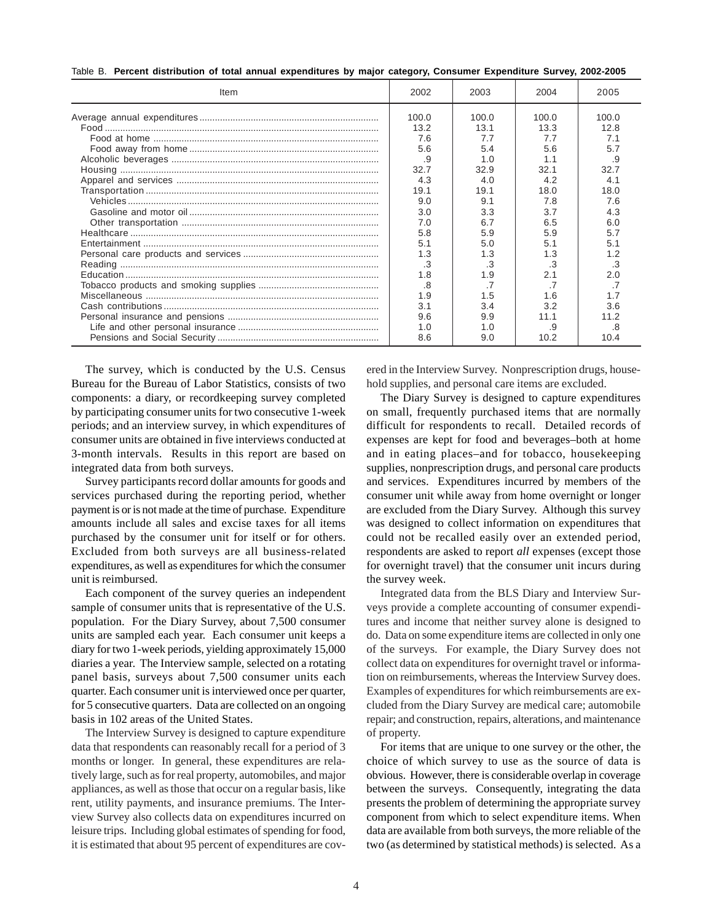| Table B.  Percent distribution of total annual expenditures by major category, Consumer Expenditure Survey, 2002-2005 |  |  |  |
|-----------------------------------------------------------------------------------------------------------------------|--|--|--|
|-----------------------------------------------------------------------------------------------------------------------|--|--|--|

| Item | 2002  | 2003  | 2004  | 2005  |
|------|-------|-------|-------|-------|
|      | 100.0 | 100.0 | 100.0 | 100.0 |
|      | 13.2  | 13.1  | 13.3  | 12.8  |
|      | 7.6   | 7.7   | 7.7   | 7.1   |
|      | 5.6   | 5.4   | 5.6   | 5.7   |
|      | .9    | 1.0   | 1.1   | .9    |
|      |       |       | 32.1  | 32.7  |
|      | 32.7  | 32.9  |       |       |
|      | 4.3   | 4.0   | 4.2   | 4.1   |
|      | 19.1  | 19.1  | 18.0  | 18.0  |
|      | 9.0   | 9.1   | 7.8   | 7.6   |
|      | 3.0   | 3.3   | 3.7   | 4.3   |
|      | 7.0   | 6.7   | 6.5   | 6.0   |
|      | 5.8   | 5.9   | 5.9   | 5.7   |
|      | 5.1   | 5.0   | 5.1   | 5.1   |
|      | 1.3   | 1.3   | 1.3   | 1.2   |
|      | .3    | .3    | .3    | .3    |
|      | 1.8   | 1.9   | 2.1   | 2.0   |
|      | .8    |       | .7    |       |
|      | 1.9   | 1.5   | 1.6   |       |
|      | 3.1   | 3.4   | 3.2   | 3.6   |
|      | 9.6   | 9.9   | 11.1  | 11.2  |
|      | 1.0   | 1. በ  | .9    | .8    |
|      | 8.6   | 9.0   | 10.2  | 10.4  |

The survey, which is conducted by the U.S. Census Bureau for the Bureau of Labor Statistics, consists of two components: a diary, or recordkeeping survey completed by participating consumer units for two consecutive 1-week periods; and an interview survey, in which expenditures of consumer units are obtained in five interviews conducted at 3-month intervals. Results in this report are based on integrated data from both surveys.

Survey participants record dollar amounts for goods and services purchased during the reporting period, whether payment is or is not made at the time of purchase. Expenditure amounts include all sales and excise taxes for all items purchased by the consumer unit for itself or for others. Excluded from both surveys are all business-related expenditures, as well as expenditures for which the consumer unit is reimbursed.

Each component of the survey queries an independent sample of consumer units that is representative of the U.S. population. For the Diary Survey, about 7,500 consumer units are sampled each year. Each consumer unit keeps a diary for two 1-week periods, yielding approximately 15,000 diaries a year. The Interview sample, selected on a rotating panel basis, surveys about 7,500 consumer units each quarter. Each consumer unit is interviewed once per quarter, for 5 consecutive quarters. Data are collected on an ongoing basis in 102 areas of the United States.

The Interview Survey is designed to capture expenditure data that respondents can reasonably recall for a period of 3 months or longer. In general, these expenditures are relatively large, such as for real property, automobiles, and major appliances, as well as those that occur on a regular basis, like rent, utility payments, and insurance premiums. The Interview Survey also collects data on expenditures incurred on leisure trips. Including global estimates of spending for food, it is estimated that about 95 percent of expenditures are covered in the Interview Survey. Nonprescription drugs, household supplies, and personal care items are excluded.

The Diary Survey is designed to capture expenditures on small, frequently purchased items that are normally difficult for respondents to recall. Detailed records of expenses are kept for food and beverages–both at home and in eating places–and for tobacco, housekeeping supplies, nonprescription drugs, and personal care products and services. Expenditures incurred by members of the consumer unit while away from home overnight or longer are excluded from the Diary Survey. Although this survey was designed to collect information on expenditures that could not be recalled easily over an extended period, respondents are asked to report *all* expenses (except those for overnight travel) that the consumer unit incurs during the survey week.

Integrated data from the BLS Diary and Interview Surveys provide a complete accounting of consumer expenditures and income that neither survey alone is designed to do. Data on some expenditure items are collected in only one of the surveys. For example, the Diary Survey does not collect data on expenditures for overnight travel or information on reimbursements, whereas the Interview Survey does. Examples of expenditures for which reimbursements are excluded from the Diary Survey are medical care; automobile repair; and construction, repairs, alterations, and maintenance of property.

For items that are unique to one survey or the other, the choice of which survey to use as the source of data is obvious. However, there is considerable overlap in coverage between the surveys. Consequently, integrating the data presents the problem of determining the appropriate survey component from which to select expenditure items. When data are available from both surveys, the more reliable of the two (as determined by statistical methods) is selected. As a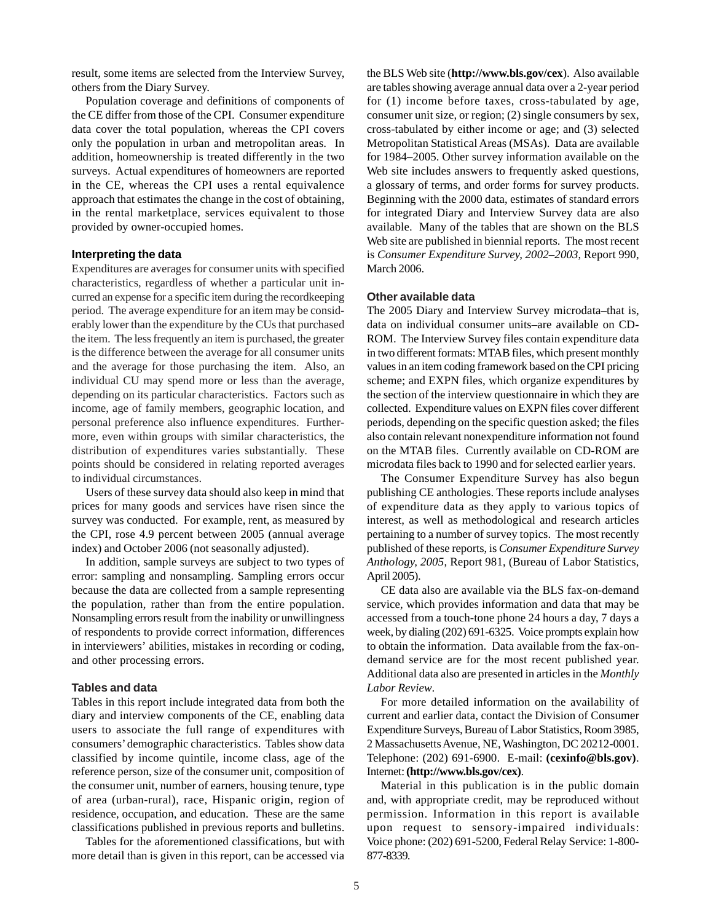result, some items are selected from the Interview Survey, others from the Diary Survey.

Population coverage and definitions of components of the CE differ from those of the CPI. Consumer expenditure data cover the total population, whereas the CPI covers only the population in urban and metropolitan areas. In addition, homeownership is treated differently in the two surveys. Actual expenditures of homeowners are reported in the CE, whereas the CPI uses a rental equivalence approach that estimates the change in the cost of obtaining, in the rental marketplace, services equivalent to those provided by owner-occupied homes.

## **Interpreting the data**

Expenditures are averages for consumer units with specified characteristics, regardless of whether a particular unit incurred an expense for a specific item during the recordkeeping period. The average expenditure for an item may be considerably lower than the expenditure by the CUs that purchased the item. The less frequently an item is purchased, the greater is the difference between the average for all consumer units and the average for those purchasing the item. Also, an individual CU may spend more or less than the average, depending on its particular characteristics. Factors such as income, age of family members, geographic location, and personal preference also influence expenditures. Furthermore, even within groups with similar characteristics, the distribution of expenditures varies substantially. These points should be considered in relating reported averages to individual circumstances.

Users of these survey data should also keep in mind that prices for many goods and services have risen since the survey was conducted. For example, rent, as measured by the CPI, rose 4.9 percent between 2005 (annual average index) and October 2006 (not seasonally adjusted).

In addition, sample surveys are subject to two types of error: sampling and nonsampling. Sampling errors occur because the data are collected from a sample representing the population, rather than from the entire population. Nonsampling errors result from the inability or unwillingness of respondents to provide correct information, differences in interviewers' abilities, mistakes in recording or coding, and other processing errors.

### **Tables and data**

Tables in this report include integrated data from both the diary and interview components of the CE, enabling data users to associate the full range of expenditures with consumers' demographic characteristics. Tables show data classified by income quintile, income class, age of the reference person, size of the consumer unit, composition of the consumer unit, number of earners, housing tenure, type of area (urban-rural), race, Hispanic origin, region of residence, occupation, and education. These are the same classifications published in previous reports and bulletins.

Tables for the aforementioned classifications, but with more detail than is given in this report, can be accessed via the BLS Web site (**http://www.bls.gov/cex**). Also available are tables showing average annual data over a 2-year period for (1) income before taxes, cross-tabulated by age, consumer unit size, or region; (2) single consumers by sex, cross-tabulated by either income or age; and (3) selected Metropolitan Statistical Areas (MSAs). Data are available for 1984–2005. Other survey information available on the Web site includes answers to frequently asked questions, a glossary of terms, and order forms for survey products. Beginning with the 2000 data, estimates of standard errors for integrated Diary and Interview Survey data are also available. Many of the tables that are shown on the BLS Web site are published in biennial reports. The most recent is *Consumer Expenditure Survey, 2002–2003*, Report 990, March 2006.

#### **Other available data**

The 2005 Diary and Interview Survey microdata*–*that is, data on individual consumer units*–*are available on CD-ROM. The Interview Survey files contain expenditure data in two different formats: MTAB files, which present monthly values in an item coding framework based on the CPI pricing scheme; and EXPN files, which organize expenditures by the section of the interview questionnaire in which they are collected. Expenditure values on EXPN files cover different periods, depending on the specific question asked; the files also contain relevant nonexpenditure information not found on the MTAB files. Currently available on CD-ROM are microdata files back to 1990 and for selected earlier years.

The Consumer Expenditure Survey has also begun publishing CE anthologies. These reports include analyses of expenditure data as they apply to various topics of interest, as well as methodological and research articles pertaining to a number of survey topics. The most recently published of these reports, is *Consumer Expenditure Survey Anthology, 2005*, Report 981, (Bureau of Labor Statistics, April 2005).

CE data also are available via the BLS fax-on-demand service, which provides information and data that may be accessed from a touch-tone phone 24 hours a day, 7 days a week, by dialing (202) 691-6325. Voice prompts explain how to obtain the information. Data available from the fax-ondemand service are for the most recent published year. Additional data also are presented in articles in the *Monthly Labor Review*.

For more detailed information on the availability of current and earlier data, contact the Division of Consumer Expenditure Surveys, Bureau of Labor Statistics, Room 3985, 2 Massachusetts Avenue, NE, Washington, DC 20212-0001. Telephone: (202) 691-6900. E-mail: **(cexinfo@bls.gov)**. Internet: **(http://www.bls.gov/cex)**.

Material in this publication is in the public domain and, with appropriate credit, may be reproduced without permission. Information in this report is available upon request to sensory-impaired individuals: Voice phone: (202) 691-5200, Federal Relay Service: 1-800- 877-8339.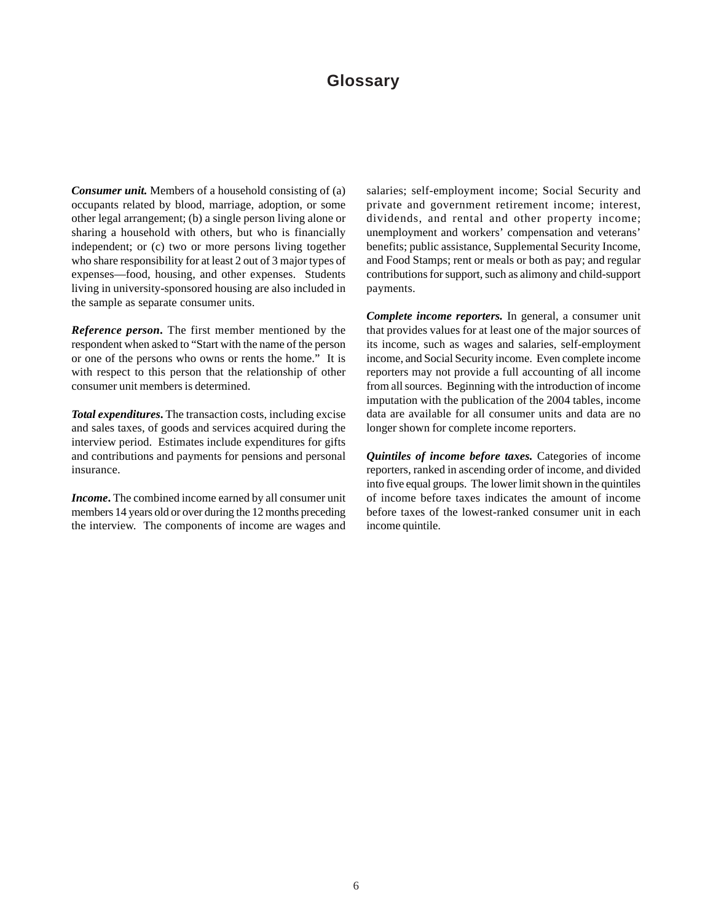## **Glossary**

*Consumer unit.* Members of a household consisting of (a) occupants related by blood, marriage, adoption, or some other legal arrangement; (b) a single person living alone or sharing a household with others, but who is financially independent; or (c) two or more persons living together who share responsibility for at least 2 out of 3 major types of expenses—food, housing, and other expenses. Students living in university-sponsored housing are also included in the sample as separate consumer units.

*Reference person***.** The first member mentioned by the respondent when asked to "Start with the name of the person or one of the persons who owns or rents the home." It is with respect to this person that the relationship of other consumer unit members is determined.

*Total expenditures***.** The transaction costs, including excise and sales taxes, of goods and services acquired during the interview period. Estimates include expenditures for gifts and contributions and payments for pensions and personal insurance.

*Income***.** The combined income earned by all consumer unit members 14 years old or over during the 12 months preceding the interview. The components of income are wages and salaries; self-employment income; Social Security and private and government retirement income; interest, dividends, and rental and other property income; unemployment and workers' compensation and veterans' benefits; public assistance, Supplemental Security Income, and Food Stamps; rent or meals or both as pay; and regular contributions for support, such as alimony and child-support payments.

*Complete income reporters.* In general, a consumer unit that provides values for at least one of the major sources of its income, such as wages and salaries, self-employment income, and Social Security income. Even complete income reporters may not provide a full accounting of all income from all sources. Beginning with the introduction of income imputation with the publication of the 2004 tables, income data are available for all consumer units and data are no longer shown for complete income reporters.

*Quintiles of income before taxes.* Categories of income reporters, ranked in ascending order of income, and divided into five equal groups. The lower limit shown in the quintiles of income before taxes indicates the amount of income before taxes of the lowest-ranked consumer unit in each income quintile.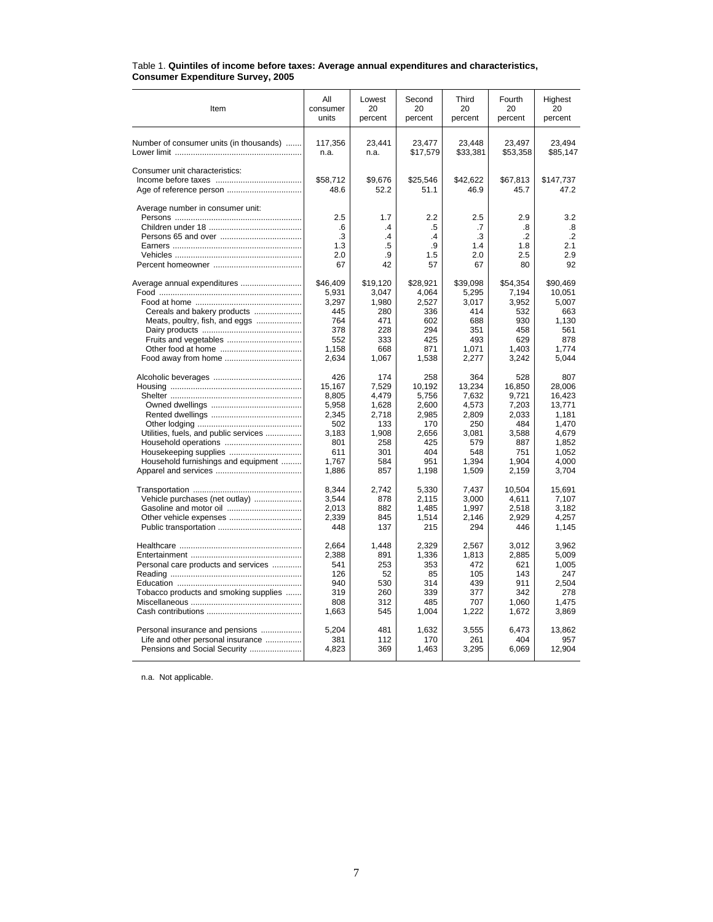| Item                                    | All                                 | Lowest                                 | Second                                        | Third                               | Fourth                                      | Highest                                  |
|-----------------------------------------|-------------------------------------|----------------------------------------|-----------------------------------------------|-------------------------------------|---------------------------------------------|------------------------------------------|
|                                         | consumer                            | 20                                     | 20                                            | 20                                  | 20                                          | 20                                       |
|                                         | units                               | percent                                | percent                                       | percent                             | percent                                     | percent                                  |
| Number of consumer units (in thousands) | 117,356                             | 23,441                                 | 23,477                                        | 23,448                              | 23,497                                      | 23,494                                   |
|                                         | n.a.                                | n.a.                                   | \$17,579                                      | \$33,381                            | \$53,358                                    | \$85,147                                 |
| Consumer unit characteristics:          | \$58,712<br>48.6                    | \$9,676<br>52.2                        | \$25,546<br>51.1                              | \$42,622<br>46.9                    | \$67,813<br>45.7                            | \$147,737<br>47.2                        |
| Average number in consumer unit:        | 2.5<br>.6<br>.3<br>1.3<br>2.0<br>67 | 1.7<br>$\cdot$<br>.4<br>.5<br>.9<br>42 | 2.2<br>.5<br>$\mathcal{A}$<br>.9<br>1.5<br>57 | 2.5<br>.7<br>.3<br>1.4<br>2.0<br>67 | 2.9<br>.8<br>$\cdot$ .2<br>1.8<br>2.5<br>80 | 3.2<br>.8<br>$\cdot$<br>2.1<br>2.9<br>92 |
| Average annual expenditures             | \$46,409                            | \$19.120                               | \$28.921                                      | \$39.098                            | \$54,354                                    | \$90.469                                 |
|                                         | 5,931                               | 3,047                                  | 4.064                                         | 5,295                               | 7,194                                       | 10,051                                   |
|                                         | 3,297                               | 1.980                                  | 2,527                                         | 3.017                               | 3.952                                       | 5.007                                    |
| Cereals and bakery products             | 445                                 | 280                                    | 336                                           | 414                                 | 532                                         | 663                                      |
| Meats, poultry, fish, and eggs          | 764                                 | 471                                    | 602                                           | 688                                 | 930                                         | 1.130                                    |
|                                         | 378                                 | 228                                    | 294                                           | 351                                 | 458                                         | 561                                      |
|                                         | 552                                 | 333                                    | 425                                           | 493                                 | 629                                         | 878                                      |
|                                         | 1,158                               | 668                                    | 871                                           | 1,071                               | 1.403                                       | 1.774                                    |
|                                         | 2,634                               | 1,067                                  | 1,538                                         | 2,277                               | 3,242                                       | 5.044                                    |
|                                         | 426                                 | 174                                    | 258                                           | 364                                 | 528                                         | 807                                      |
|                                         | 15.167                              | 7.529                                  | 10,192                                        | 13,234                              | 16,850                                      | 28.006                                   |
|                                         | 8,805                               | 4,479                                  | 5,756                                         | 7,632                               | 9,721                                       | 16,423                                   |
|                                         | 5,958                               | 1,628                                  | 2,600                                         | 4,573                               | 7,203                                       | 13.771                                   |
|                                         | 2,345                               | 2,718                                  | 2,985                                         | 2,809                               | 2.033                                       | 1,181                                    |
|                                         | 502                                 | 133                                    | 170                                           | 250                                 | 484                                         | 1.470                                    |
| Utilities, fuels, and public services   | 3.183                               | 1,908                                  | 2,656                                         | 3.081                               | 3,588                                       | 4.679                                    |
|                                         | 801                                 | 258                                    | 425                                           | 579                                 | 887                                         | 1.852                                    |
|                                         | 611                                 | 301                                    | 404                                           | 548                                 | 751                                         | 1,052                                    |
| Household furnishings and equipment     | 1.767                               | 584                                    | 951                                           | 1.394                               | 1.904                                       | 4.000                                    |
|                                         | 1,886                               | 857                                    | 1,198                                         | 1,509                               | 2,159                                       | 3,704                                    |
|                                         | 8.344                               | 2.742                                  | 5.330                                         | 7.437                               | 10.504                                      | 15.691                                   |
| Vehicle purchases (net outlay)          | 3.544                               | 878                                    | 2,115                                         | 3.000                               | 4,611                                       | 7,107                                    |
|                                         | 2.013                               | 882                                    | 1.485                                         | 1.997                               | 2.518                                       | 3.182                                    |
|                                         | 2,339                               | 845                                    | 1,514                                         | 2,146                               | 2,929                                       | 4.257                                    |
|                                         | 448                                 | 137                                    | 215                                           | 294                                 | 446                                         | 1,145                                    |
|                                         | 2,664                               | 1,448                                  | 2,329                                         | 2,567                               | 3,012                                       | 3,962                                    |
|                                         | 2.388                               | 891                                    | 1,336                                         | 1,813                               | 2,885                                       | 5,009                                    |
| Personal care products and services     | 541                                 | 253                                    | 353                                           | 472                                 | 621                                         | 1,005                                    |
|                                         | 126                                 | 52                                     | 85                                            | 105                                 | 143                                         | 247                                      |
|                                         | 940                                 | 530                                    | 314                                           | 439                                 | 911                                         | 2,504                                    |
| Tobacco products and smoking supplies   | 319                                 | 260                                    | 339                                           | 377                                 | 342                                         | 278                                      |
|                                         | 808                                 | 312                                    | 485                                           | 707                                 | 1,060                                       | 1,475                                    |
|                                         | 1,663                               | 545                                    | 1,004                                         | 1,222                               | 1,672                                       | 3,869                                    |
| Personal insurance and pensions         | 5,204                               | 481                                    | 1,632                                         | 3,555                               | 6,473                                       | 13,862                                   |
| Life and other personal insurance       | 381                                 | 112                                    | 170                                           | 261                                 | 404                                         | 957                                      |
| Pensions and Social Security            | 4,823                               | 369                                    | 1,463                                         | 3,295                               | 6,069                                       | 12,904                                   |

#### Table 1. **Quintiles of income before taxes: Average annual expenditures and characteristics, Consumer Expenditure Survey, 2005**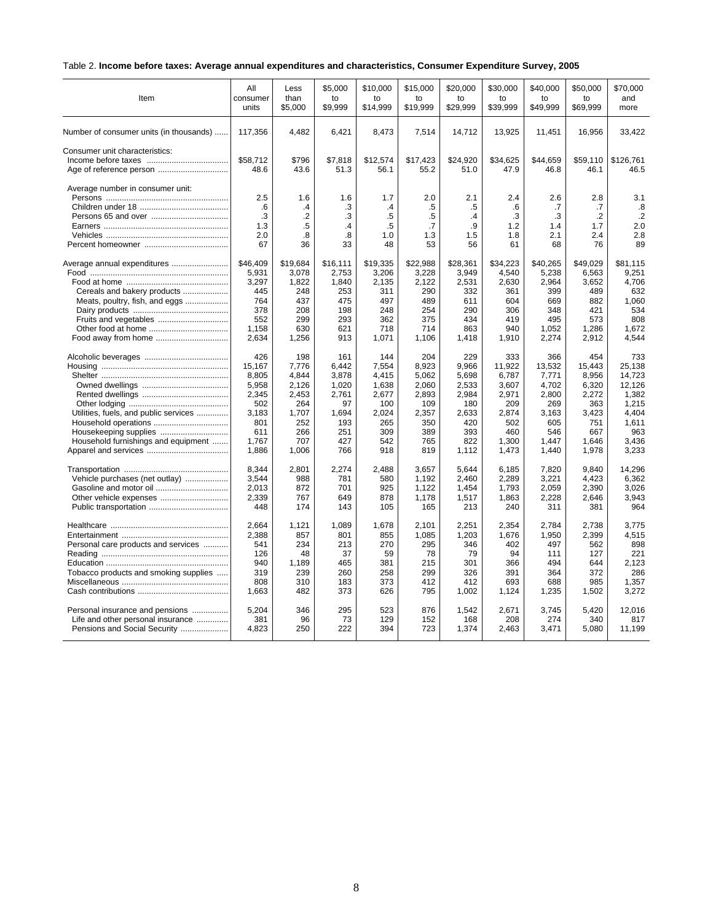## Table 2. **Income before taxes: Average annual expenditures and characteristics, Consumer Expenditure Survey, 2005**

| Item                                                      | All              | Less                 | \$5,000         | \$10,000             | \$15,000         | \$20,000         | \$30,000         | \$40.000         | \$50,000         | \$70.000          |
|-----------------------------------------------------------|------------------|----------------------|-----------------|----------------------|------------------|------------------|------------------|------------------|------------------|-------------------|
|                                                           | consumer         | than                 | to              | to                   | to               | to               | to               | to               | to               | and               |
|                                                           | units            | \$5,000              | \$9,999         | \$14,999             | \$19,999         | \$29,999         | \$39.999         | \$49,999         | \$69,999         | more              |
| Number of consumer units (in thousands)                   | 117,356          | 4,482                | 6,421           | 8,473                | 7,514            | 14,712           | 13,925           | 11,451           | 16,956           | 33,422            |
| Consumer unit characteristics:<br>Age of reference person | \$58.712<br>48.6 | \$796<br>43.6        | \$7,818<br>51.3 | \$12,574<br>56.1     | \$17,423<br>55.2 | \$24,920<br>51.0 | \$34,625<br>47.9 | \$44,659<br>46.8 | \$59,110<br>46.1 | \$126,761<br>46.5 |
| Average number in consumer unit:                          | 2.5<br>.6        | 1.6<br>$\mathcal{A}$ | 1.6<br>.3       | 1.7<br>$\mathcal{A}$ | 2.0<br>.5        | 2.1<br>.5        | 2.4<br>.6        | 2.6<br>.7        | 2.8<br>.7        | 3.1<br>.8         |
|                                                           | .3               | $\cdot$              | .3              | .5                   | .5               | .4               | .3               | .3               | $\cdot$          | $\cdot$           |
|                                                           | 1.3              | .5                   | .4              | .5                   | $\cdot$ 7        | .9               | 1.2              | 1.4              | 1.7              | 2.0               |
|                                                           | 2.0              | .8                   | .8              | 1.0                  | 1.3              | 1.5              | 1.8              | 2.1              | 2.4              | 2.8               |
|                                                           | 67               | 36                   | 33              | 48                   | 53               | 56               | 61               | 68               | 76               | 89                |
| Average annual expenditures                               | \$46,409         | \$19,684             | \$16,111        | \$19,335             | \$22,988         | \$28,361         | \$34,223         | \$40,265         | \$49,029         | \$81,115          |
|                                                           | 5,931            | 3,078                | 2,753           | 3,206                | 3,228            | 3,949            | 4,540            | 5,238            | 6,563            | 9,251             |
|                                                           | 3,297            | 1,822                | 1,840           | 2,135                | 2,122            | 2,531            | 2,630            | 2,964            | 3,652            | 4,706             |
| Cereals and bakery products                               | 445              | 248                  | 253             | 311                  | 290              | 332              | 361              | 399              | 489              | 632               |
| Meats, poultry, fish, and eggs                            | 764              | 437                  | 475             | 497                  | 489              | 611              | 604              | 669              | 882              | 1,060             |
|                                                           | 378              | 208                  | 198             | 248                  | 254              | 290              | 306              | 348              | 421              | 534               |
|                                                           | 552              | 299                  | 293             | 362                  | 375              | 434              | 419              | 495              | 573              | 808               |
|                                                           | 1,158            | 630                  | 621             | 718                  | 714              | 863              | 940              | 1,052            | 1,286            | 1.672             |
|                                                           | 2,634            | 1,256                | 913             | 1,071                | 1,106            | 1,418            | 1,910            | 2,274            | 2,912            | 4,544             |
|                                                           | 426              | 198                  | 161             | 144                  | 204              | 229              | 333              | 366              | 454              | 733               |
|                                                           | 15,167           | 7,776                | 6,442           | 7,554                | 8,923            | 9,966            | 11,922           | 13,532           | 15,443           | 25,138            |
|                                                           | 8,805            | 4,844                | 3,878           | 4,415                | 5,062            | 5,698            | 6,787            | 7,771            | 8,956            | 14,723            |
|                                                           | 5,958            | 2,126                | 1,020           | 1,638                | 2,060            | 2,533            | 3,607            | 4,702            | 6,320            | 12,126            |
|                                                           | 2,345            | 2,453                | 2,761           | 2,677                | 2,893            | 2,984            | 2,971            | 2,800            | 2,272            | 1,382             |
|                                                           | 502              | 264                  | 97              | 100                  | 109              | 180              | 209              | 269              | 363              | 1,215             |
| Utilities, fuels, and public services                     | 3,183            | 1,707                | 1,694           | 2,024                | 2,357            | 2,633            | 2,874            | 3,163            | 3,423            | 4,404             |
|                                                           | 801              | 252                  | 193             | 265                  | 350              | 420              | 502              | 605              | 751              | 1,611             |
| Housekeeping supplies                                     | 611              | 266                  | 251             | 309                  | 389              | 393              | 460              | 546              | 667              | 963               |
| Household furnishings and equipment                       | 1,767            | 707                  | 427             | 542                  | 765              | 822              | 1,300            | 1,447            | 1,646            | 3,436             |
|                                                           | 1,886            | 1,006                | 766             | 918                  | 819              | 1,112            | 1,473            | 1,440            | 1,978            | 3,233             |
|                                                           | 8,344            | 2,801                | 2,274           | 2,488                | 3,657            | 5,644            | 6,185            | 7,820            | 9,840            | 14,296            |
| Vehicle purchases (net outlay)                            | 3,544            | 988                  | 781             | 580                  | 1,192            | 2,460            | 2,289            | 3,221            | 4,423            | 6,362             |
|                                                           | 2,013            | 872                  | 701             | 925                  | 1,122            | 1,454            | 1,793            | 2,059            | 2,390            | 3,026             |
|                                                           | 2,339            | 767                  | 649             | 878                  | 1,178            | 1,517            | 1,863            | 2,228            | 2,646            | 3,943             |
|                                                           | 448              | 174                  | 143             | 105                  | 165              | 213              | 240              | 311              | 381              | 964               |
|                                                           | 2,664            | 1,121                | 1,089           | 1,678                | 2,101            | 2,251            | 2,354            | 2,784            | 2,738            | 3,775             |
|                                                           | 2.388            | 857                  | 801             | 855                  | 1,085            | 1,203            | 1,676            | 1,950            | 2.399            | 4,515             |
| Personal care products and services                       | 541              | 234                  | 213             | 270                  | 295              | 346              | 402              | 497              | 562              | 898               |
|                                                           | 126              | 48                   | 37              | 59                   | 78               | 79               | 94               | 111              | 127              | 221               |
|                                                           | 940              | 1,189                | 465             | 381                  | 215              | 301              | 366              | 494              | 644              | 2,123             |
| Tobacco products and smoking supplies                     | 319              | 239                  | 260             | 258                  | 299              | 326              | 391              | 364              | 372              | 286               |
|                                                           | 808              | 310                  | 183             | 373                  | 412              | 412              | 693              | 688              | 985              | 1,357             |
|                                                           | 1,663            | 482                  | 373             | 626                  | 795              | 1,002            | 1,124            | 1,235            | 1,502            | 3,272             |
| Personal insurance and pensions                           | 5,204            | 346                  | 295             | 523                  | 876              | 1,542            | 2,671            | 3.745            | 5,420            | 12,016            |
| Life and other personal insurance                         | 381              | 96                   | 73              | 129                  | 152              | 168              | 208              | 274              | 340              | 817               |
| Pensions and Social Security                              | 4,823            | 250                  | 222             | 394                  | 723              | 1,374            | 2,463            | 3,471            | 5,080            | 11,199            |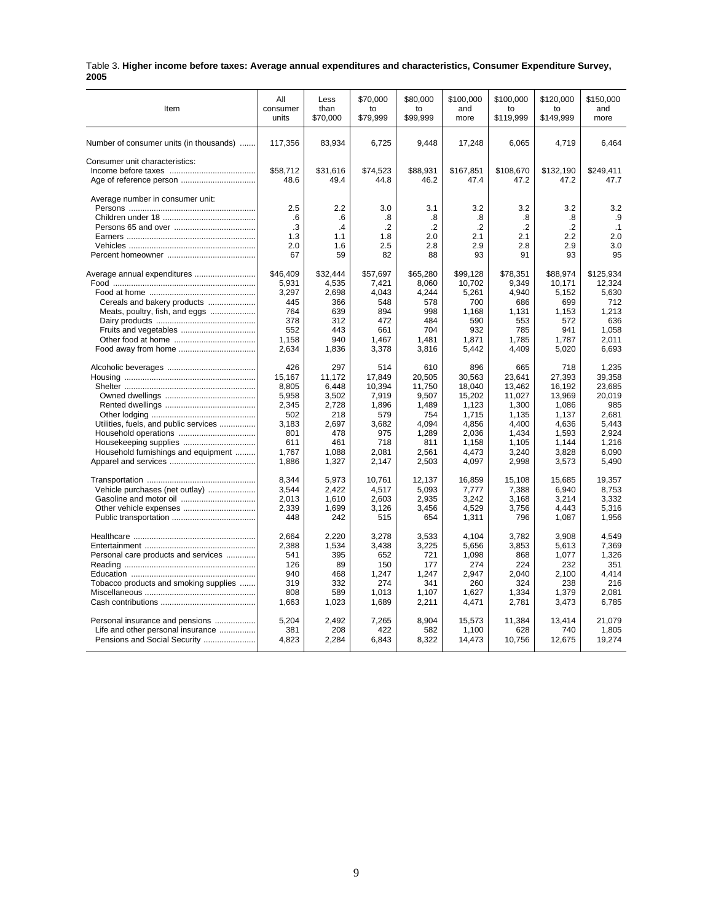|      | Table 3. Higher income before taxes: Average annual expenditures and characteristics, Consumer Expenditure Survey, |  |  |
|------|--------------------------------------------------------------------------------------------------------------------|--|--|
| 2005 |                                                                                                                    |  |  |

| Item                                    | All                    | Less                   | \$70,000                    | \$80,000                    | \$100,000                   | \$100,000                   | \$120,000                   | \$150,000              |
|-----------------------------------------|------------------------|------------------------|-----------------------------|-----------------------------|-----------------------------|-----------------------------|-----------------------------|------------------------|
|                                         | consumer               | than                   | to                          | to                          | and                         | to                          | to                          | and                    |
|                                         | units                  | \$70,000               | \$79,999                    | \$99,999                    | more                        | \$119,999                   | \$149,999                   | more                   |
| Number of consumer units (in thousands) | 117,356                | 83,934                 | 6,725                       | 9,448                       | 17,248                      | 6,065                       | 4,719                       | 6,464                  |
| Consumer unit characteristics:          | \$58,712<br>48.6       | \$31,616<br>49.4       | \$74,523<br>44.8            | \$88,931<br>46.2            | \$167,851<br>47.4           | \$108,670<br>47.2           | \$132,190<br>47.2           | \$249,411<br>47.7      |
| Average number in consumer unit:        | 2.5<br>.6<br>.3<br>1.3 | 2.2<br>.6<br>.4<br>1.1 | 3.0<br>.8<br>$\cdot$<br>1.8 | 3.1<br>.8<br>$\cdot$<br>2.0 | 3.2<br>.8<br>$\cdot$<br>2.1 | 3.2<br>.8<br>$\cdot$<br>2.1 | 3.2<br>.8<br>$\cdot$<br>2.2 | 3.2<br>.9<br>.1<br>2.0 |
|                                         | 2.0                    | 1.6                    | 2.5                         | 2.8                         | 2.9                         | 2.8                         | 2.9                         | 3.0                    |
|                                         | 67                     | 59                     | 82                          | 88                          | 93                          | 91                          | 93                          | 95                     |
| Average annual expenditures             | \$46,409               | \$32.444               | \$57,697                    | \$65,280                    | \$99,128                    | \$78,351                    | \$88,974                    | \$125,934              |
|                                         | 5,931                  | 4,535                  | 7,421                       | 8,060                       | 10,702                      | 9,349                       | 10,171                      | 12,324                 |
|                                         | 3,297                  | 2,698                  | 4,043                       | 4,244                       | 5,261                       | 4,940                       | 5,152                       | 5,630                  |
| Cereals and bakery products             | 445                    | 366                    | 548                         | 578                         | 700                         | 686                         | 699                         | 712                    |
| Meats, poultry, fish, and eggs          | 764                    | 639                    | 894                         | 998                         | 1,168                       | 1,131                       | 1,153                       | 1,213                  |
|                                         | 378                    | 312                    | 472                         | 484                         | 590                         | 553                         | 572                         | 636                    |
|                                         | 552                    | 443                    | 661                         | 704                         | 932                         | 785                         | 941                         | 1,058                  |
|                                         | 1,158                  | 940                    | 1,467                       | 1,481                       | 1,871                       | 1,785                       | 1,787                       | 2,011                  |
|                                         | 2,634                  | 1,836                  | 3,378                       | 3,816                       | 5,442                       | 4,409                       | 5,020                       | 6,693                  |
|                                         | 426                    | 297                    | 514                         | 610                         | 896                         | 665                         | 718                         | 1.235                  |
|                                         | 15,167                 | 11,172                 | 17,849                      | 20,505                      | 30,563                      | 23,641                      | 27,393                      | 39,358                 |
|                                         | 8.805                  | 6.448                  | 10.394                      | 11.750                      | 18.040                      | 13.462                      | 16.192                      | 23.685                 |
|                                         | 5,958                  | 3,502                  | 7,919                       | 9,507                       | 15,202                      | 11,027                      | 13,969                      | 20,019                 |
|                                         | 2.345                  | 2.728                  | 1,896                       | 1.489                       | 1,123                       | 1.300                       | 1,086                       | 985                    |
|                                         | 502                    | 218                    | 579                         | 754                         | 1,715                       | 1,135                       | 1,137                       | 2,681                  |
| Utilities, fuels, and public services   | 3.183                  | 2.697                  | 3,682                       | 4.094                       | 4,856                       | 4.400                       | 4,636                       | 5.443                  |
|                                         | 801                    | 478                    | 975                         | 1,289                       | 2,036                       | 1,434                       | 1,593                       | 2,924                  |
|                                         | 611                    | 461                    | 718                         | 811                         | 1,158                       | 1,105                       | 1,144                       | 1,216                  |
| Household furnishings and equipment     | 1,767                  | 1,088                  | 2,081                       | 2,561                       | 4,473                       | 3,240                       | 3,828                       | 6,090                  |
|                                         | 1,886                  | 1,327                  | 2,147                       | 2,503                       | 4,097                       | 2,998                       | 3,573                       | 5,490                  |
|                                         | 8,344                  | 5,973                  | 10,761                      | 12,137                      | 16,859                      | 15,108                      | 15,685                      | 19,357                 |
| Vehicle purchases (net outlay)          | 3,544                  | 2,422                  | 4,517                       | 5,093                       | 7,777                       | 7,388                       | 6,940                       | 8,753                  |
|                                         | 2,013                  | 1,610                  | 2,603                       | 2,935                       | 3,242                       | 3,168                       | 3,214                       | 3,332                  |
|                                         | 2,339                  | 1,699                  | 3,126                       | 3,456                       | 4,529                       | 3,756                       | 4.443                       | 5,316                  |
|                                         | 448                    | 242                    | 515                         | 654                         | 1,311                       | 796                         | 1,087                       | 1,956                  |
|                                         | 2,664                  | 2,220                  | 3,278                       | 3,533                       | 4,104                       | 3,782                       | 3,908                       | 4,549                  |
|                                         | 2,388                  | 1,534                  | 3,438                       | 3,225                       | 5,656                       | 3,853                       | 5,613                       | 7,369                  |
| Personal care products and services     | 541                    | 395                    | 652                         | 721                         | 1,098                       | 868                         | 1,077                       | 1,326                  |
|                                         | 126                    | 89                     | 150                         | 177                         | 274                         | 224                         | 232                         | 351                    |
|                                         | 940                    | 468                    | 1,247                       | 1,247                       | 2,947                       | 2,040                       | 2,100                       | 4,414                  |
| Tobacco products and smoking supplies   | 319                    | 332                    | 274                         | 341                         | 260                         | 324                         | 238                         | 216                    |
|                                         | 808                    | 589                    | 1,013                       | 1,107                       | 1,627                       | 1,334                       | 1,379                       | 2,081                  |
|                                         | 1,663                  | 1,023                  | 1,689                       | 2,211                       | 4,471                       | 2,781                       | 3,473                       | 6,785                  |
| Personal insurance and pensions         | 5,204                  | 2,492                  | 7,265                       | 8,904                       | 15,573                      | 11,384                      | 13,414                      | 21,079                 |
| Life and other personal insurance       | 381                    | 208                    | 422                         | 582                         | 1,100                       | 628                         | 740                         | 1,805                  |
| Pensions and Social Security            | 4.823                  | 2,284                  | 6,843                       | 8,322                       | 14,473                      | 10,756                      | 12,675                      | 19,274                 |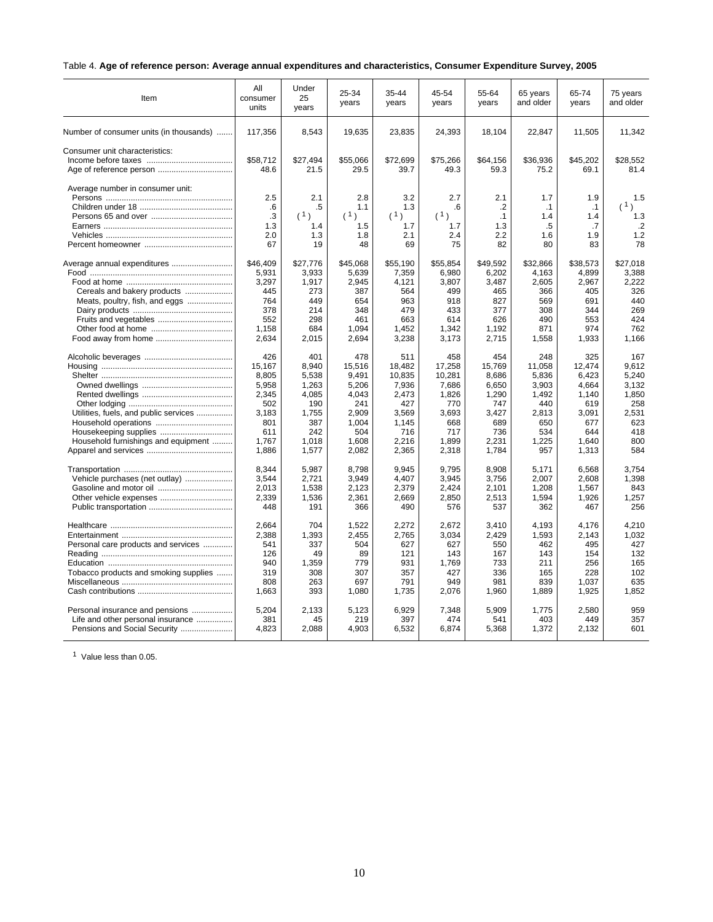## Table 4. **Age of reference person: Average annual expenditures and characteristics, Consumer Expenditure Survey, 2005**

| Item                                                                                                                                                 | All<br>consumer<br>units                                                                 | Under<br>25<br>years                                                                    | 25-34<br>years                                                                             | 35-44<br>years                                                                              | 45-54<br>years                                                                            | 55-64<br>years                                                                           | 65 years<br>and older                                                                  | 65-74<br>years                                                                           | 75 years<br>and older                                                               |
|------------------------------------------------------------------------------------------------------------------------------------------------------|------------------------------------------------------------------------------------------|-----------------------------------------------------------------------------------------|--------------------------------------------------------------------------------------------|---------------------------------------------------------------------------------------------|-------------------------------------------------------------------------------------------|------------------------------------------------------------------------------------------|----------------------------------------------------------------------------------------|------------------------------------------------------------------------------------------|-------------------------------------------------------------------------------------|
| Number of consumer units (in thousands)                                                                                                              | 117,356                                                                                  | 8.543                                                                                   | 19,635                                                                                     | 23,835                                                                                      | 24,393                                                                                    | 18,104                                                                                   | 22,847                                                                                 | 11,505                                                                                   | 11,342                                                                              |
| Consumer unit characteristics:<br>Age of reference person                                                                                            | \$58.712<br>48.6                                                                         | \$27.494<br>21.5                                                                        | \$55.066<br>29.5                                                                           | \$72,699<br>39.7                                                                            | \$75,266<br>49.3                                                                          | \$64,156<br>59.3                                                                         | \$36.936<br>75.2                                                                       | \$45,202<br>69.1                                                                         | \$28.552<br>81.4                                                                    |
| Average number in consumer unit:                                                                                                                     | 2.5<br>.6<br>.3<br>1.3<br>2.0<br>67                                                      | 2.1<br>.5<br>(1)<br>1.4<br>1.3<br>19                                                    | 2.8<br>1.1<br>(1)<br>1.5<br>1.8<br>48                                                      | 3.2<br>1.3<br>(1)<br>1.7<br>2.1<br>69                                                       | 2.7<br>.6<br>(1)<br>1.7<br>2.4<br>75                                                      | 2.1<br>$\cdot$<br>$\cdot$ 1<br>1.3<br>2.2<br>82                                          | 1.7<br>$\cdot$ 1<br>1.4<br>.5<br>1.6<br>80                                             | 1.9<br>$\cdot$ 1<br>1.4<br>.7<br>1.9<br>83                                               | 1.5<br>(1)<br>1.3<br>$\cdot$<br>1.2<br>78                                           |
| Average annual expenditures<br>Cereals and bakery products<br>Meats, poultry, fish, and eggs<br>Fruits and vegetables                                | \$46.409<br>5,931<br>3.297<br>445<br>764<br>378<br>552<br>1,158<br>2,634                 | \$27,776<br>3,933<br>1.917<br>273<br>449<br>214<br>298<br>684<br>2,015                  | \$45,068<br>5,639<br>2.945<br>387<br>654<br>348<br>461<br>1,094<br>2,694                   | \$55,190<br>7,359<br>4.121<br>564<br>963<br>479<br>663<br>1,452<br>3,238                    | \$55.854<br>6,980<br>3.807<br>499<br>918<br>433<br>614<br>1,342<br>3,173                  | \$49.592<br>6,202<br>3.487<br>465<br>827<br>377<br>626<br>1,192<br>2,715                 | \$32.866<br>4,163<br>2,605<br>366<br>569<br>308<br>490<br>871<br>1,558                 | \$38.573<br>4,899<br>2,967<br>405<br>691<br>344<br>553<br>974<br>1,933                   | \$27.018<br>3,388<br>2,222<br>326<br>440<br>269<br>424<br>762<br>1,166              |
| Utilities, fuels, and public services<br>Household furnishings and equipment                                                                         | 426<br>15,167<br>8,805<br>5,958<br>2,345<br>502<br>3.183<br>801<br>611<br>1.767<br>1,886 | 401<br>8,940<br>5,538<br>1,263<br>4,085<br>190<br>1,755<br>387<br>242<br>1.018<br>1,577 | 478<br>15,516<br>9.491<br>5,206<br>4,043<br>241<br>2,909<br>1,004<br>504<br>1.608<br>2,082 | 511<br>18,482<br>10,835<br>7,936<br>2,473<br>427<br>3,569<br>1,145<br>716<br>2.216<br>2,365 | 458<br>17,258<br>10,281<br>7,686<br>1,826<br>770<br>3,693<br>668<br>717<br>1.899<br>2,318 | 454<br>15,769<br>8,686<br>6,650<br>1,290<br>747<br>3,427<br>689<br>736<br>2.231<br>1,784 | 248<br>11,058<br>5,836<br>3,903<br>1,492<br>440<br>2,813<br>650<br>534<br>1,225<br>957 | 325<br>12,474<br>6,423<br>4,664<br>1,140<br>619<br>3,091<br>677<br>644<br>1.640<br>1,313 | 167<br>9,612<br>5,240<br>3,132<br>1,850<br>258<br>2,531<br>623<br>418<br>800<br>584 |
| Vehicle purchases (net outlay)                                                                                                                       | 8.344<br>3.544<br>2.013<br>2,339<br>448                                                  | 5.987<br>2.721<br>1,538<br>1,536<br>191                                                 | 8,798<br>3.949<br>2.123<br>2,361<br>366                                                    | 9.945<br>4.407<br>2,379<br>2,669<br>490                                                     | 9.795<br>3.945<br>2.424<br>2,850<br>576                                                   | 8.908<br>3.756<br>2.101<br>2,513<br>537                                                  | 5.171<br>2.007<br>1,208<br>1,594<br>362                                                | 6,568<br>2.608<br>1,567<br>1,926<br>467                                                  | 3.754<br>1.398<br>843<br>1,257<br>256                                               |
| Personal care products and services<br>Tobacco products and smoking supplies<br>Personal insurance and pensions<br>Life and other personal insurance | 2.664<br>2,388<br>541<br>126<br>940<br>319<br>808<br>1,663<br>5,204<br>381               | 704<br>1,393<br>337<br>49<br>1,359<br>308<br>263<br>393<br>2,133<br>45                  | 1.522<br>2,455<br>504<br>89<br>779<br>307<br>697<br>1,080<br>5,123<br>219                  | 2.272<br>2,765<br>627<br>121<br>931<br>357<br>791<br>1,735<br>6,929<br>397                  | 2.672<br>3,034<br>627<br>143<br>1,769<br>427<br>949<br>2,076<br>7,348<br>474              | 3.410<br>2,429<br>550<br>167<br>733<br>336<br>981<br>1,960<br>5,909<br>541               | 4.193<br>1,593<br>462<br>143<br>211<br>165<br>839<br>1,889<br>1,775<br>403             | 4.176<br>2,143<br>495<br>154<br>256<br>228<br>1,037<br>1,925<br>2,580<br>449             | 4.210<br>1,032<br>427<br>132<br>165<br>102<br>635<br>1,852<br>959<br>357            |
| Pensions and Social Security                                                                                                                         | 4,823                                                                                    | 2,088                                                                                   | 4,903                                                                                      | 6,532                                                                                       | 6,874                                                                                     | 5,368                                                                                    | 1,372                                                                                  | 2,132                                                                                    | 601                                                                                 |

<sup>1</sup> Value less than 0.05.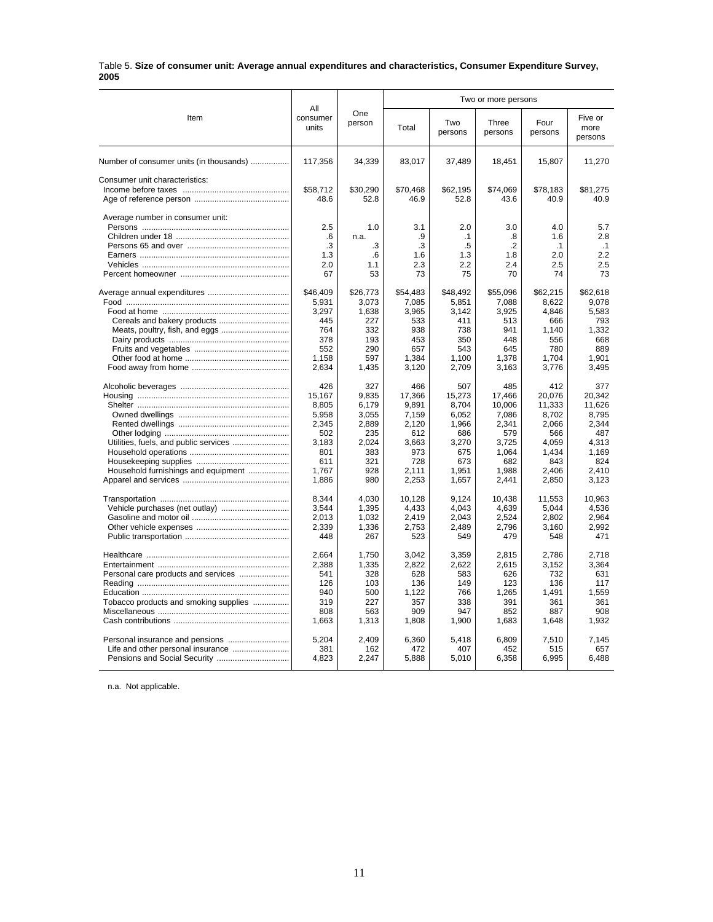#### Table 5. **Size of consumer unit: Average annual expenditures and characteristics, Consumer Expenditure Survey, 2005**

|                                         |                          |                | Two or more persons |                |                  |                 |                            |
|-----------------------------------------|--------------------------|----------------|---------------------|----------------|------------------|-----------------|----------------------------|
| Item                                    | All<br>consumer<br>units | One<br>person  | Total               | Two<br>persons | Three<br>persons | Four<br>persons | Five or<br>more<br>persons |
| Number of consumer units (in thousands) | 117,356                  | 34,339         | 83,017              | 37,489         | 18,451           | 15,807          | 11,270                     |
| Consumer unit characteristics:          |                          |                |                     |                |                  |                 |                            |
|                                         | \$58,712                 | \$30,290       | \$70,468            | \$62,195       | \$74,069         | \$78,183        | \$81,275                   |
|                                         | 48.6                     | 52.8           | 46.9                | 52.8           | 43.6             | 40.9            | 40.9                       |
| Average number in consumer unit:        |                          |                |                     |                |                  |                 |                            |
|                                         | 2.5                      | 1.0            | 3.1                 | 2.0            | 3.0              | 4.0             | 5.7                        |
|                                         | .6                       | n.a.           | .9                  | $\cdot$ 1      | .8               | 1.6             | 2.8                        |
|                                         | .3                       | .3             | .3                  | .5             | .2               | $\cdot$ 1       | $\cdot$ 1                  |
|                                         | 1.3                      | .6             | 1.6                 | 1.3            | 1.8              | 2.0             | 2.2                        |
|                                         | 2.0                      | 1.1            | 2.3                 | 2.2            | 2.4              | 2.5             | 2.5                        |
|                                         | 67                       | 53             | 73                  | 75             | 70               | 74              | 73                         |
|                                         | \$46,409                 | \$26,773       | \$54,483            | \$48,492       | \$55,096         | \$62,215        | \$62,618                   |
|                                         | 5,931                    | 3.073          | 7,085               | 5,851          | 7,088            | 8,622           | 9.078                      |
|                                         | 3,297                    | 1.638          | 3.965               | 3.142          | 3.925            | 4.846           | 5.583                      |
|                                         | 445                      | 227            | 533                 | 411            | 513              | 666             | 793                        |
| Meats, poultry, fish, and eggs          | 764                      | 332            | 938                 | 738            | 941              | 1,140           | 1,332                      |
|                                         | 378<br>552               | 193<br>290     | 453<br>657          | 350<br>543     | 448<br>645       | 556<br>780      | 668<br>889                 |
|                                         | 1,158                    | 597            | 1,384               | 1,100          | 1,378            | 1,704           | 1,901                      |
|                                         | 2.634                    | 1,435          | 3,120               | 2,709          | 3.163            | 3,776           | 3,495                      |
|                                         |                          |                |                     |                |                  |                 |                            |
|                                         | 426                      | 327            | 466                 | 507            | 485              | 412             | 377                        |
|                                         | 15.167                   | 9.835          | 17,366              | 15,273         | 17,466           | 20,076          | 20.342                     |
|                                         | 8,805                    | 6,179          | 9,891               | 8,704          | 10,006           | 11,333          | 11,626                     |
|                                         | 5,958                    | 3,055          | 7,159               | 6,052          | 7,086            | 8,702           | 8,795                      |
|                                         | 2,345                    | 2,889          | 2,120               | 1,966          | 2,341            | 2,066           | 2.344                      |
|                                         | 502                      | 235            | 612                 | 686            | 579              | 566             | 487                        |
|                                         | 3.183<br>801             | 2.024<br>383   | 3.663<br>973        | 3.270<br>675   | 3,725<br>1,064   | 4.059<br>1,434  | 4.313<br>1.169             |
|                                         | 611                      | 321            | 728                 | 673            | 682              | 843             | 824                        |
| Household furnishings and equipment     | 1,767                    | 928            | 2,111               | 1,951          | 1.988            | 2,406           | 2,410                      |
|                                         | 1,886                    | 980            | 2,253               | 1,657          | 2,441            | 2,850           | 3,123                      |
|                                         |                          |                |                     |                |                  |                 |                            |
|                                         | 8,344                    | 4,030          | 10,128              | 9,124          | 10,438           | 11,553          | 10,963                     |
|                                         | 3,544<br>2,013           | 1,395<br>1,032 | 4,433<br>2,419      | 4,043<br>2,043 | 4,639<br>2,524   | 5,044<br>2,802  | 4,536<br>2,964             |
|                                         | 2,339                    | 1,336          | 2,753               | 2,489          | 2,796            | 3,160           | 2,992                      |
|                                         | 448                      | 267            | 523                 | 549            | 479              | 548             | 471                        |
|                                         |                          |                |                     |                |                  |                 |                            |
|                                         | 2.664                    | 1.750          | 3.042               | 3.359          | 2.815            | 2.786           | 2.718                      |
|                                         | 2,388                    | 1,335          | 2,822               | 2,622          | 2,615            | 3,152           | 3,364                      |
|                                         | 541                      | 328            | 628                 | 583            | 626              | 732             | 631                        |
|                                         | 126<br>940               | 103<br>500     | 136<br>1,122        | 149<br>766     | 123<br>1,265     | 136<br>1,491    | 117<br>1,559               |
| Tobacco products and smoking supplies   | 319                      | 227            | 357                 | 338            | 391              | 361             | 361                        |
|                                         | 808                      | 563            | 909                 | 947            | 852              | 887             | 908                        |
|                                         | 1,663                    | 1,313          | 1,808               | 1,900          | 1,683            | 1,648           | 1.932                      |
|                                         |                          |                |                     |                |                  |                 |                            |
|                                         | 5,204                    | 2.409          | 6,360               | 5,418          | 6.809            | 7,510           | 7,145                      |
| Pensions and Social Security            | 381<br>4,823             | 162<br>2,247   | 472<br>5,888        | 407<br>5,010   | 452<br>6,358     | 515<br>6,995    | 657<br>6,488               |
|                                         |                          |                |                     |                |                  |                 |                            |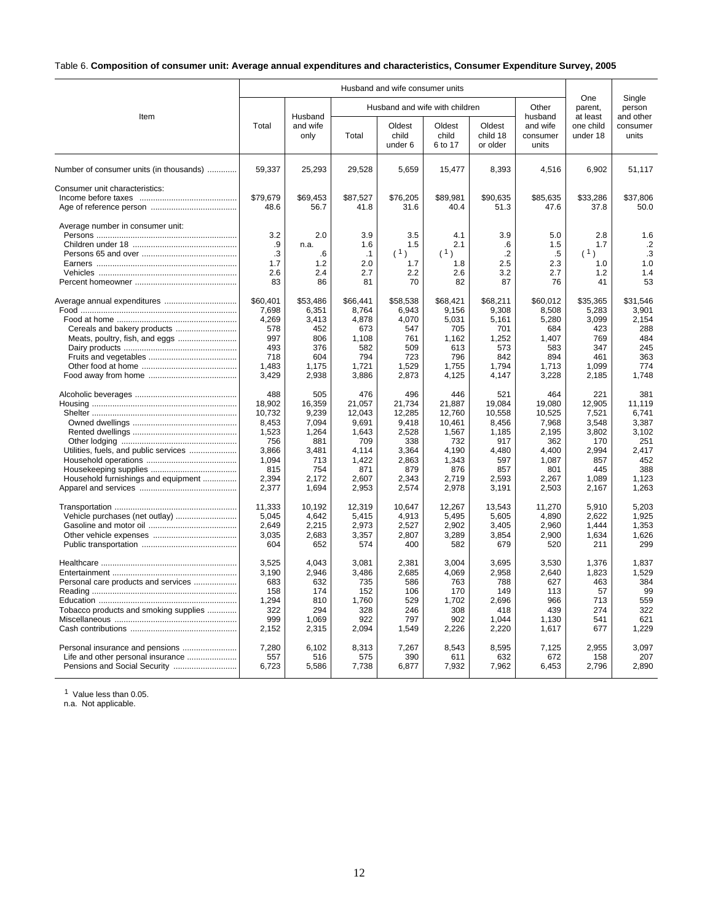## Table 6. **Composition of consumer unit: Average annual expenditures and characteristics, Consumer Expenditure Survey, 2005**

|                                                                                                      |                                                                                             |                                                                                          |                                                                                             | Husband and wife consumer units                                                             |                                                                                              |                                                                                           |                                                                                             |                                                                                          |                                                                                          |  |
|------------------------------------------------------------------------------------------------------|---------------------------------------------------------------------------------------------|------------------------------------------------------------------------------------------|---------------------------------------------------------------------------------------------|---------------------------------------------------------------------------------------------|----------------------------------------------------------------------------------------------|-------------------------------------------------------------------------------------------|---------------------------------------------------------------------------------------------|------------------------------------------------------------------------------------------|------------------------------------------------------------------------------------------|--|
|                                                                                                      |                                                                                             |                                                                                          |                                                                                             |                                                                                             | Husband and wife with children                                                               |                                                                                           | Other                                                                                       | One<br>parent.                                                                           | Single<br>person                                                                         |  |
| Item                                                                                                 | Total                                                                                       | Husband<br>and wife<br>only                                                              | Total                                                                                       | Oldest<br>child<br>under 6                                                                  | Oldest<br>child<br>6 to 17                                                                   | Oldest<br>child 18<br>or older                                                            | husband<br>and wife<br>consumer<br>units                                                    | at least<br>one child<br>under 18                                                        | and other<br>consumer<br>units                                                           |  |
| Number of consumer units (in thousands)                                                              | 59.337                                                                                      | 25,293                                                                                   | 29.528                                                                                      | 5.659                                                                                       | 15,477                                                                                       | 8,393                                                                                     | 4,516                                                                                       | 6,902                                                                                    | 51,117                                                                                   |  |
| Consumer unit characteristics:                                                                       | \$79,679<br>48.6                                                                            | \$69,453<br>56.7                                                                         | \$87,527<br>41.8                                                                            | \$76,205<br>31.6                                                                            | \$89,981<br>40.4                                                                             | \$90,635<br>51.3                                                                          | \$85,635<br>47.6                                                                            | \$33,286<br>37.8                                                                         | \$37,806<br>50.0                                                                         |  |
| Average number in consumer unit:                                                                     | 3.2<br>.9<br>.3<br>1.7<br>2.6<br>83                                                         | 2.0<br>n.a.<br>.6<br>1.2<br>2.4<br>86                                                    | 3.9<br>1.6<br>.1<br>2.0<br>2.7<br>81                                                        | 3.5<br>1.5<br>(1)<br>1.7<br>2.2<br>70                                                       | 4.1<br>2.1<br>(1)<br>1.8<br>2.6<br>82                                                        | 3.9<br>$6^{\circ}$<br>$\cdot$ .2<br>2.5<br>3.2<br>87                                      | 5.0<br>1.5<br>.5<br>2.3<br>2.7<br>76                                                        | 2.8<br>1.7<br>(1)<br>1.0<br>1.2<br>41                                                    | 1.6<br>$\cdot$<br>.3<br>1.0<br>1.4<br>53                                                 |  |
| Cereals and bakery products<br>Meats, poultry, fish, and eggs                                        | \$60,401<br>7,698<br>4,269<br>578<br>997<br>493<br>718<br>1,483<br>3,429                    | \$53,486<br>6,351<br>3.413<br>452<br>806<br>376<br>604<br>1,175<br>2,938                 | \$66,441<br>8.764<br>4.878<br>673<br>1,108<br>582<br>794<br>1,721<br>3,886                  | \$58,538<br>6,943<br>4.070<br>547<br>761<br>509<br>723<br>1,529<br>2,873                    | \$68,421<br>9,156<br>5,031<br>705<br>1,162<br>613<br>796<br>1,755<br>4,125                   | \$68,211<br>9,308<br>5,161<br>701<br>1,252<br>573<br>842<br>1,794<br>4,147                | \$60,012<br>8,508<br>5,280<br>684<br>1.407<br>583<br>894<br>1,713<br>3,228                  | \$35,365<br>5,283<br>3.099<br>423<br>769<br>347<br>461<br>1,099<br>2,185                 | \$31,546<br>3.901<br>2.154<br>288<br>484<br>245<br>363<br>774<br>1.748                   |  |
| Utilities, fuels, and public services<br>Household furnishings and equipment                         | 488<br>18.902<br>10,732<br>8,453<br>1,523<br>756<br>3,866<br>1,094<br>815<br>2,394<br>2,377 | 505<br>16,359<br>9,239<br>7,094<br>1,264<br>881<br>3,481<br>713<br>754<br>2,172<br>1,694 | 476<br>21.057<br>12,043<br>9,691<br>1,643<br>709<br>4,114<br>1,422<br>871<br>2,607<br>2,953 | 496<br>21,734<br>12,285<br>9,418<br>2,528<br>338<br>3,364<br>2,863<br>879<br>2,343<br>2,574 | 446<br>21,887<br>12,760<br>10,461<br>1,567<br>732<br>4,190<br>1,343<br>876<br>2,719<br>2,978 | 521<br>19.084<br>10,558<br>8,456<br>1,185<br>917<br>4,480<br>597<br>857<br>2,593<br>3,191 | 464<br>19.080<br>10,525<br>7,968<br>2,195<br>362<br>4,400<br>1,087<br>801<br>2,267<br>2,503 | 221<br>12,905<br>7,521<br>3,548<br>3,802<br>170<br>2,994<br>857<br>445<br>1,089<br>2,167 | 381<br>11.119<br>6,741<br>3,387<br>3,102<br>251<br>2,417<br>452<br>388<br>1,123<br>1,263 |  |
|                                                                                                      | 11.333<br>5,045<br>2,649<br>3,035<br>604                                                    | 10,192<br>4,642<br>2.215<br>2,683<br>652                                                 | 12,319<br>5,415<br>2.973<br>3,357<br>574                                                    | 10.647<br>4,913<br>2,527<br>2,807<br>400                                                    | 12,267<br>5,495<br>2,902<br>3,289<br>582                                                     | 13,543<br>5,605<br>3,405<br>3,854<br>679                                                  | 11,270<br>4,890<br>2,960<br>2,900<br>520                                                    | 5.910<br>2,622<br>1.444<br>1,634<br>211                                                  | 5.203<br>1,925<br>1,353<br>1,626<br>299                                                  |  |
| Personal care products and services<br>Tobacco products and smoking supplies                         | 3,525<br>3,190<br>683<br>158<br>1,294<br>322<br>999<br>2,152                                | 4,043<br>2,946<br>632<br>174<br>810<br>294<br>1,069<br>2,315                             | 3,081<br>3,486<br>735<br>152<br>1,760<br>328<br>922<br>2,094                                | 2,381<br>2,685<br>586<br>106<br>529<br>246<br>797<br>1,549                                  | 3,004<br>4,069<br>763<br>170<br>1,702<br>308<br>902<br>2,226                                 | 3,695<br>2,958<br>788<br>149<br>2,696<br>418<br>1,044<br>2,220                            | 3,530<br>2,640<br>627<br>113<br>966<br>439<br>1,130<br>1,617                                | 1,376<br>1,823<br>463<br>57<br>713<br>274<br>541<br>677                                  | 1,837<br>1,529<br>384<br>99<br>559<br>322<br>621<br>1,229                                |  |
| Personal insurance and pensions<br>Life and other personal insurance<br>Pensions and Social Security | 7,280<br>557<br>6,723                                                                       | 6.102<br>516<br>5,586                                                                    | 8.313<br>575<br>7,738                                                                       | 7,267<br>390<br>6,877                                                                       | 8.543<br>611<br>7,932                                                                        | 8.595<br>632<br>7,962                                                                     | 7,125<br>672<br>6,453                                                                       | 2.955<br>158<br>2,796                                                                    | 3.097<br>207<br>2,890                                                                    |  |

<sup>1</sup> Value less than 0.05.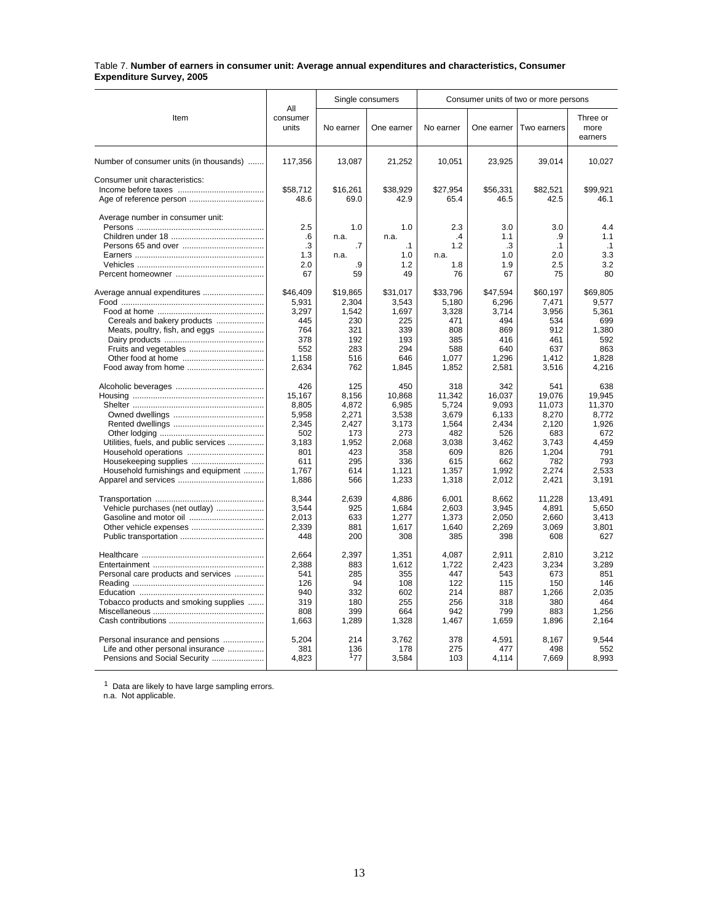#### Table 7. **Number of earners in consumer unit: Average annual expenditures and characteristics, Consumer Expenditure Survey, 2005**

|                                         |                          |              | Single consumers |              | Consumer units of two or more persons |              |                             |  |  |
|-----------------------------------------|--------------------------|--------------|------------------|--------------|---------------------------------------|--------------|-----------------------------|--|--|
| Item                                    | All<br>consumer<br>units | No earner    | One earner       | No earner    | One earner                            | Two earners  | Three or<br>more<br>earners |  |  |
| Number of consumer units (in thousands) | 117,356                  | 13,087       | 21,252           | 10,051       | 23,925                                | 39,014       | 10,027                      |  |  |
| Consumer unit characteristics:          |                          |              |                  |              |                                       |              |                             |  |  |
|                                         | \$58,712                 | \$16,261     | \$38,929         | \$27,954     | \$56,331                              | \$82,521     | \$99.921                    |  |  |
| Age of reference person                 | 48.6                     | 69.0         | 42.9             | 65.4         | 46.5                                  | 42.5         | 46.1                        |  |  |
| Average number in consumer unit:        |                          |              |                  |              |                                       |              |                             |  |  |
|                                         | 2.5                      | 1.0          | 1.0              | 2.3          | 3.0                                   | 3.0          | 4.4                         |  |  |
|                                         | .6                       | n.a.         | n.a.             | $\cdot$      | 1.1                                   | .9           | 1.1                         |  |  |
|                                         | $\cdot$ 3                | .7           | $\cdot$ 1        | 1.2          | .3                                    | $\cdot$ 1    | .1                          |  |  |
|                                         | 1.3                      | n.a.         | 1.0              | n.a.         | 1.0                                   | 2.0          | 3.3                         |  |  |
|                                         | 2.0                      | .9           | 1.2              | 1.8          | 1.9                                   | 2.5          | 3.2                         |  |  |
|                                         | 67                       | 59           | 49               | 76           | 67                                    | 75           | 80                          |  |  |
| Average annual expenditures             | \$46,409                 | \$19,865     | \$31,017         | \$33,796     | \$47,594                              | \$60,197     | \$69,805                    |  |  |
|                                         | 5,931                    | 2,304        | 3,543            | 5,180        | 6,296                                 | 7,471        | 9,577                       |  |  |
|                                         | 3,297                    | 1,542        | 1,697            | 3,328        | 3,714                                 | 3,956        | 5,361                       |  |  |
| Cereals and bakery products             | 445                      | 230          | 225              | 471          | 494                                   | 534          | 699                         |  |  |
| Meats, poultry, fish, and eggs          | 764                      | 321          | 339              | 808          | 869                                   | 912          | 1,380                       |  |  |
|                                         | 378                      | 192          | 193              | 385          | 416                                   | 461          | 592                         |  |  |
|                                         | 552<br>1,158             | 283<br>516   | 294<br>646       | 588<br>1,077 | 640<br>1,296                          | 637<br>1,412 | 863<br>1,828                |  |  |
|                                         | 2,634                    | 762          | 1,845            | 1,852        | 2,581                                 | 3,516        | 4,216                       |  |  |
|                                         |                          |              |                  |              |                                       |              |                             |  |  |
|                                         | 426                      | 125          | 450              | 318          | 342                                   | 541          | 638                         |  |  |
|                                         | 15,167                   | 8,156        | 10,868           | 11,342       | 16,037                                | 19,076       | 19,945                      |  |  |
|                                         | 8,805                    | 4,872        | 6,985            | 5,724        | 9,093                                 | 11,073       | 11,370                      |  |  |
|                                         | 5,958                    | 2,271        | 3,538            | 3,679        | 6,133                                 | 8,270        | 8,772                       |  |  |
|                                         | 2.345<br>502             | 2.427<br>173 | 3.173<br>273     | 1.564<br>482 | 2.434<br>526                          | 2.120<br>683 | 1.926<br>672                |  |  |
| Utilities, fuels, and public services   | 3,183                    | 1,952        | 2,068            | 3,038        | 3,462                                 | 3,743        | 4,459                       |  |  |
|                                         | 801                      | 423          | 358              | 609          | 826                                   | 1,204        | 791                         |  |  |
| Housekeeping supplies                   | 611                      | 295          | 336              | 615          | 662                                   | 782          | 793                         |  |  |
| Household furnishings and equipment     | 1.767                    | 614          | 1,121            | 1.357        | 1.992                                 | 2.274        | 2.533                       |  |  |
|                                         | 1,886                    | 566          | 1,233            | 1,318        | 2.012                                 | 2,421        | 3.191                       |  |  |
|                                         | 8,344                    | 2,639        | 4,886            | 6,001        | 8,662                                 | 11,228       | 13,491                      |  |  |
| Vehicle purchases (net outlay)          | 3,544                    | 925          | 1,684            | 2,603        | 3.945                                 | 4,891        | 5.650                       |  |  |
|                                         | 2.013                    | 633          | 1,277            | 1,373        | 2.050                                 | 2.660        | 3.413                       |  |  |
|                                         | 2.339                    | 881          | 1.617            | 1.640        | 2.269                                 | 3.069        | 3.801                       |  |  |
|                                         | 448                      | 200          | 308              | 385          | 398                                   | 608          | 627                         |  |  |
|                                         | 2,664                    | 2,397        |                  | 4,087        | 2,911                                 | 2,810        |                             |  |  |
|                                         | 2.388                    | 883          | 1,351            | 1.722        | 2.423                                 |              | 3,212<br>3.289              |  |  |
| Personal care products and services     | 541                      | 285          | 1,612<br>355     | 447          | 543                                   | 3,234<br>673 | 851                         |  |  |
|                                         | 126                      | 94           | 108              | 122          | 115                                   | 150          | 146                         |  |  |
|                                         | 940                      | 332          | 602              | 214          | 887                                   | 1,266        | 2,035                       |  |  |
| Tobacco products and smoking supplies   | 319                      | 180          | 255              | 256          | 318                                   | 380          | 464                         |  |  |
|                                         | 808                      | 399          | 664              | 942          | 799                                   | 883          | 1,256                       |  |  |
|                                         | 1,663                    | 1,289        | 1,328            | 1,467        | 1,659                                 | 1,896        | 2.164                       |  |  |
| Personal insurance and pensions         | 5,204                    | 214          | 3,762            | 378          | 4,591                                 | 8,167        | 9,544                       |  |  |
| Life and other personal insurance       | 381                      | 136          | 178              | 275          | 477                                   | 498          | 552                         |  |  |
| Pensions and Social Security            | 4,823                    | 177          | 3,584            | 103          | 4,114                                 | 7,669        | 8,993                       |  |  |
|                                         |                          |              |                  |              |                                       |              |                             |  |  |

 $1$  Data are likely to have large sampling errors.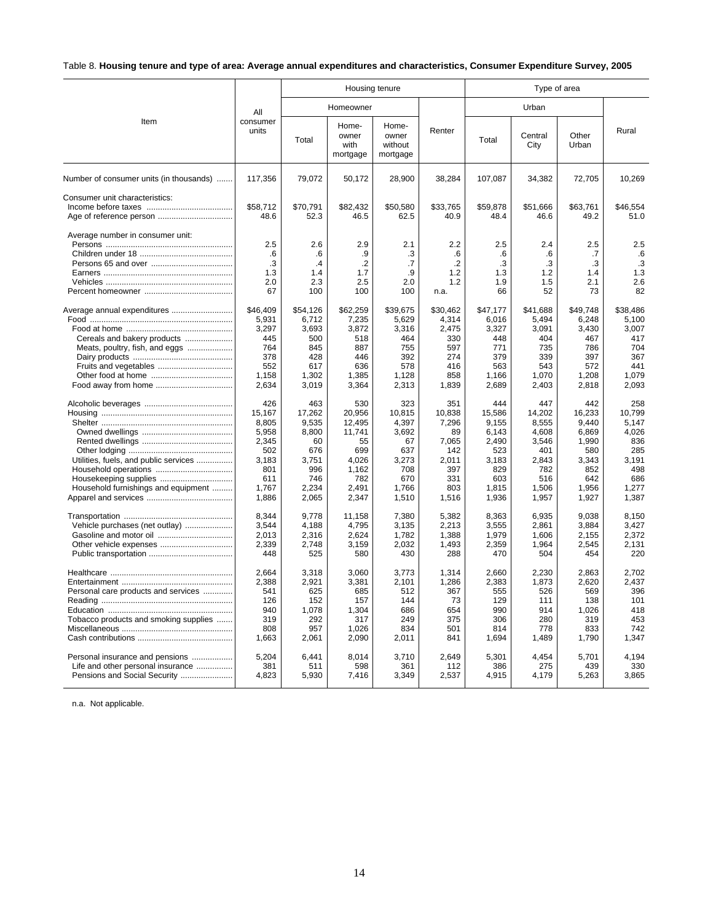## Table 8. **Housing tenure and type of area: Average annual expenditures and characteristics, Consumer Expenditure Survey, 2005**

|                                                                                              |                                                                                          |                                                                                       | Housing tenure                                                                            |                                                                                       |                                                                                     | Type of area                                                                             |                                                                                          |                                                                                          |                                                                                        |  |
|----------------------------------------------------------------------------------------------|------------------------------------------------------------------------------------------|---------------------------------------------------------------------------------------|-------------------------------------------------------------------------------------------|---------------------------------------------------------------------------------------|-------------------------------------------------------------------------------------|------------------------------------------------------------------------------------------|------------------------------------------------------------------------------------------|------------------------------------------------------------------------------------------|----------------------------------------------------------------------------------------|--|
|                                                                                              | All<br>consumer<br>units                                                                 | Homeowner                                                                             |                                                                                           |                                                                                       |                                                                                     |                                                                                          |                                                                                          |                                                                                          |                                                                                        |  |
| Item                                                                                         |                                                                                          | Total                                                                                 | Home-<br>owner<br>with<br>mortgage                                                        | Home-<br>owner<br>without<br>mortgage                                                 | Renter                                                                              | Total                                                                                    | Central<br>City                                                                          | Other<br>Urban                                                                           | Rural                                                                                  |  |
| Number of consumer units (in thousands)                                                      | 117,356                                                                                  | 79,072                                                                                | 50,172                                                                                    | 28,900                                                                                | 38,284                                                                              | 107,087                                                                                  | 34,382                                                                                   | 72,705                                                                                   | 10,269                                                                                 |  |
| Consumer unit characteristics:                                                               | \$58,712<br>48.6                                                                         | \$70,791<br>52.3                                                                      | \$82.432<br>46.5                                                                          | \$50,580<br>62.5                                                                      | \$33,765<br>40.9                                                                    | \$59,878<br>48.4                                                                         | \$51,666<br>46.6                                                                         | \$63,761<br>49.2                                                                         | \$46,554<br>51.0                                                                       |  |
| Average number in consumer unit:                                                             | 2.5<br>.6                                                                                | 2.6<br>.6                                                                             | 2.9<br>.9                                                                                 | 2.1<br>.3                                                                             | 2.2<br>.6                                                                           | 2.5<br>.6                                                                                | 2.4<br>.6                                                                                | 2.5<br>.7                                                                                | 2.5<br>.6                                                                              |  |
|                                                                                              | .3<br>1.3<br>2.0                                                                         | $\cdot$<br>1.4<br>2.3                                                                 | $\cdot$<br>1.7<br>2.5                                                                     | .7<br>.9<br>2.0                                                                       | $\cdot$<br>1.2<br>1.2                                                               | .3<br>1.3<br>1.9                                                                         | .3<br>1.2<br>1.5                                                                         | .3<br>1.4<br>2.1                                                                         | .3<br>1.3<br>2.6                                                                       |  |
|                                                                                              | 67                                                                                       | 100                                                                                   | 100                                                                                       | 100                                                                                   | n.a.                                                                                | 66                                                                                       | 52                                                                                       | 73                                                                                       | 82                                                                                     |  |
| Average annual expenditures<br>Cereals and bakery products<br>Meats, poultry, fish, and eggs | \$46,409<br>5,931<br>3,297<br>445<br>764<br>378<br>552<br>1.158<br>2,634                 | \$54,126<br>6,712<br>3,693<br>500<br>845<br>428<br>617<br>1,302<br>3,019              | \$62,259<br>7,235<br>3,872<br>518<br>887<br>446<br>636<br>1,385<br>3,364                  | \$39,675<br>5,629<br>3,316<br>464<br>755<br>392<br>578<br>1.128<br>2,313              | \$30,462<br>4,314<br>2,475<br>330<br>597<br>274<br>416<br>858<br>1,839              | \$47,177<br>6,016<br>3,327<br>448<br>771<br>379<br>563<br>1,166<br>2,689                 | \$41,688<br>5,494<br>3,091<br>404<br>735<br>339<br>543<br>1.070<br>2,403                 | \$49,748<br>6,248<br>3,430<br>467<br>786<br>397<br>572<br>1,208<br>2,818                 | \$38,486<br>5,100<br>3,007<br>417<br>704<br>367<br>441<br>1.079<br>2,093               |  |
| Utilities, fuels, and public services<br>Household furnishings and equipment                 | 426<br>15,167<br>8.805<br>5,958<br>2,345<br>502<br>3,183<br>801<br>611<br>1,767<br>1,886 | 463<br>17,262<br>9.535<br>8,800<br>60<br>676<br>3,751<br>996<br>746<br>2,234<br>2,065 | 530<br>20,956<br>12.495<br>11,741<br>55<br>699<br>4.026<br>1,162<br>782<br>2,491<br>2,347 | 323<br>10,815<br>4.397<br>3,692<br>67<br>637<br>3,273<br>708<br>670<br>1,766<br>1,510 | 351<br>10,838<br>7.296<br>89<br>7,065<br>142<br>2,011<br>397<br>331<br>803<br>1,516 | 444<br>15,586<br>9.155<br>6,143<br>2,490<br>523<br>3,183<br>829<br>603<br>1,815<br>1,936 | 447<br>14,202<br>8.555<br>4,608<br>3,546<br>401<br>2,843<br>782<br>516<br>1,506<br>1,957 | 442<br>16,233<br>9.440<br>6,869<br>1,990<br>580<br>3,343<br>852<br>642<br>1,956<br>1,927 | 258<br>10,799<br>5.147<br>4,026<br>836<br>285<br>3.191<br>498<br>686<br>1,277<br>1,387 |  |
| Vehicle purchases (net outlay)                                                               | 8.344<br>3.544<br>2,013<br>2,339<br>448                                                  | 9.778<br>4.188<br>2,316<br>2,748<br>525                                               | 11,158<br>4,795<br>2,624<br>3,159<br>580                                                  | 7,380<br>3,135<br>1,782<br>2,032<br>430                                               | 5,382<br>2,213<br>1,388<br>1,493<br>288                                             | 8,363<br>3,555<br>1,979<br>2,359<br>470                                                  | 6,935<br>2.861<br>1,606<br>1,964<br>504                                                  | 9,038<br>3.884<br>2,155<br>2,545<br>454                                                  | 8,150<br>3.427<br>2,372<br>2,131<br>220                                                |  |
| Personal care products and services<br>Tobacco products and smoking supplies                 | 2,664<br>2,388<br>541<br>126<br>940<br>319<br>808<br>1,663                               | 3,318<br>2,921<br>625<br>152<br>1,078<br>292<br>957<br>2,061                          | 3.060<br>3,381<br>685<br>157<br>1,304<br>317<br>1,026<br>2,090                            | 3,773<br>2,101<br>512<br>144<br>686<br>249<br>834<br>2,011                            | 1,314<br>1,286<br>367<br>73<br>654<br>375<br>501<br>841                             | 2,660<br>2,383<br>555<br>129<br>990<br>306<br>814<br>1,694                               | 2,230<br>1,873<br>526<br>111<br>914<br>280<br>778<br>1,489                               | 2,863<br>2,620<br>569<br>138<br>1,026<br>319<br>833<br>1,790                             | 2.702<br>2,437<br>396<br>101<br>418<br>453<br>742<br>1,347                             |  |
| Personal insurance and pensions<br>Life and other personal insurance                         | 5,204<br>381<br>4,823                                                                    | 6,441<br>511<br>5,930                                                                 | 8,014<br>598<br>7,416                                                                     | 3,710<br>361<br>3,349                                                                 | 2,649<br>112<br>2,537                                                               | 5,301<br>386<br>4,915                                                                    | 4,454<br>275<br>4,179                                                                    | 5,701<br>439<br>5,263                                                                    | 4,194<br>330<br>3,865                                                                  |  |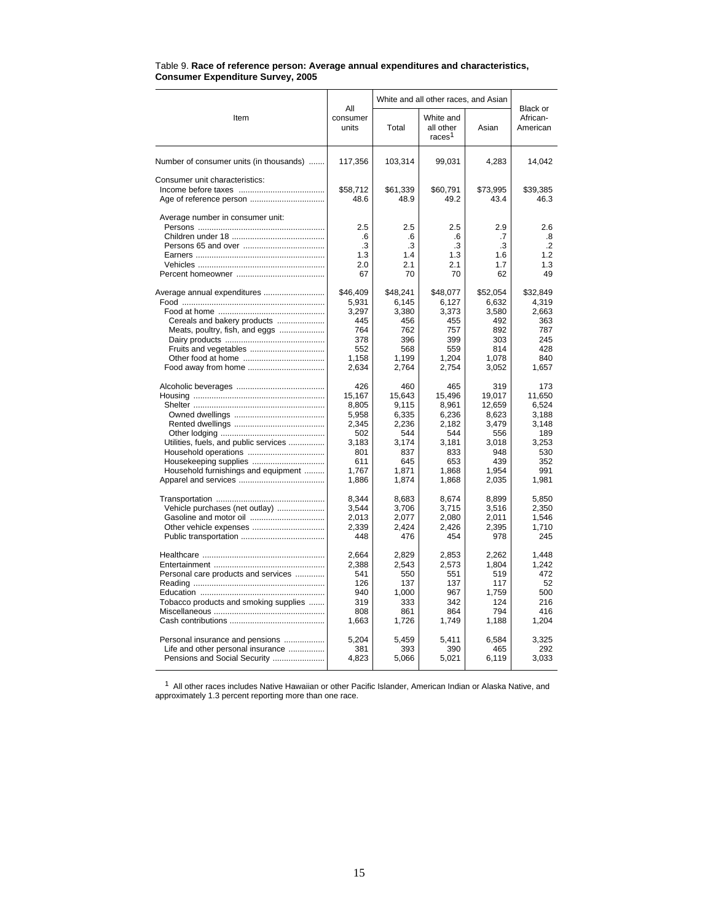|                                                           | All                                 | White and all other races, and Asian |                                              |                                     |                                             |
|-----------------------------------------------------------|-------------------------------------|--------------------------------------|----------------------------------------------|-------------------------------------|---------------------------------------------|
| Item                                                      | consumer<br>units                   | Total                                | White and<br>all other<br>races <sup>1</sup> | Asian                               | Black or<br>African-<br>American            |
| Number of consumer units (in thousands)                   | 117,356                             | 103,314                              | 99,031                                       | 4,283                               | 14,042                                      |
| Consumer unit characteristics:<br>Age of reference person | \$58,712<br>48.6                    | \$61,339<br>48.9                     | \$60,791<br>49.2                             | \$73,995<br>43.4                    | \$39,385<br>46.3                            |
| Average number in consumer unit:                          | 2.5<br>.6<br>.3<br>1.3<br>2.0<br>67 | 2.5<br>.6<br>.3<br>1.4<br>2.1<br>70  | 2.5<br>.6<br>.3<br>1.3<br>2.1<br>70          | 2.9<br>.7<br>.3<br>1.6<br>1.7<br>62 | 2.6<br>.8<br>$\cdot$ .2<br>1.2<br>1.3<br>49 |
| Average annual expenditures                               | \$46,409                            | \$48,241                             | \$48,077                                     | \$52,054                            | \$32,849                                    |
|                                                           | 5,931                               | 6.145                                | 6,127                                        | 6.632                               | 4.319                                       |
|                                                           | 3,297                               | 3,380                                | 3,373                                        | 3,580                               | 2,663                                       |
| Cereals and bakery products                               | 445                                 | 456                                  | 455                                          | 492                                 | 363                                         |
| Meats, poultry, fish, and eggs                            | 764                                 | 762                                  | 757                                          | 892                                 | 787                                         |
|                                                           | 378                                 | 396                                  | 399                                          | 303                                 | 245                                         |
|                                                           | 552                                 | 568                                  | 559                                          | 814                                 | 428                                         |
|                                                           | 1,158                               | 1,199                                | 1,204                                        | 1,078                               | 840                                         |
| Food away from home                                       | 2,634                               | 2,764                                | 2,754                                        | 3,052                               | 1,657                                       |
|                                                           | 426                                 | 460                                  | 465                                          | 319                                 | 173                                         |
|                                                           | 15,167                              | 15.643                               | 15,496                                       | 19,017                              | 11,650                                      |
|                                                           | 8,805                               | 9,115                                | 8,961                                        | 12,659                              | 6,524                                       |
|                                                           | 5,958                               | 6,335                                | 6,236                                        | 8,623                               | 3,188                                       |
|                                                           | 2,345                               | 2,236                                | 2,182                                        | 3,479                               | 3,148                                       |
|                                                           | 502                                 | 544                                  | 544                                          | 556                                 | 189                                         |
| Utilities, fuels, and public services                     | 3,183                               | 3,174                                | 3,181                                        | 3.018                               | 3.253                                       |
|                                                           | 801                                 | 837                                  | 833                                          | 948                                 | 530                                         |
|                                                           | 611                                 | 645                                  | 653                                          | 439                                 | 352                                         |
| Household furnishings and equipment                       | 1,767                               | 1,871                                | 1,868                                        | 1,954                               | 991                                         |
|                                                           | 1,886                               | 1,874                                | 1,868                                        | 2,035                               | 1,981                                       |
|                                                           | 8.344                               | 8.683                                | 8.674                                        | 8.899                               | 5,850                                       |
| Vehicle purchases (net outlay)                            | 3,544                               | 3,706                                | 3,715                                        | 3,516                               | 2,350                                       |
|                                                           | 2,013                               | 2,077                                | 2,080                                        | 2,011                               | 1,546                                       |
| Other vehicle expenses                                    | 2,339                               | 2,424                                | 2,426                                        | 2,395                               | 1,710                                       |
|                                                           | 448                                 | 476                                  | 454                                          | 978                                 | 245                                         |
|                                                           | 2,664                               | 2.829                                | 2,853                                        | 2.262                               | 1.448                                       |
|                                                           | 2.388                               | 2.543                                | 2.573                                        | 1.804                               | 1.242                                       |
| Personal care products and services                       | 541                                 | 550                                  | 551                                          | 519                                 | 472                                         |
|                                                           | 126                                 | 137                                  | 137                                          | 117                                 | 52                                          |
|                                                           | 940                                 | 1,000                                | 967                                          | 1.759                               | 500                                         |
| Tobacco products and smoking supplies                     | 319                                 | 333                                  | 342                                          | 124                                 | 216                                         |
|                                                           | 808                                 | 861                                  | 864                                          | 794                                 | 416                                         |
|                                                           | 1,663                               | 1,726                                | 1,749                                        | 1,188                               | 1,204                                       |
| Personal insurance and pensions                           | 5,204                               | 5,459                                | 5,411                                        | 6,584                               | 3,325                                       |
| Life and other personal insurance                         | 381                                 | 393                                  | 390                                          | 465                                 | 292                                         |
| Pensions and Social Security                              | 4,823                               | 5,066                                | 5,021                                        | 6,119                               | 3,033                                       |

#### Table 9. **Race of reference person: Average annual expenditures and characteristics, Consumer Expenditure Survey, 2005**

 $1$  All other races includes Native Hawaiian or other Pacific Islander, American Indian or Alaska Native, and approximately 1.3 percent reporting more than one race.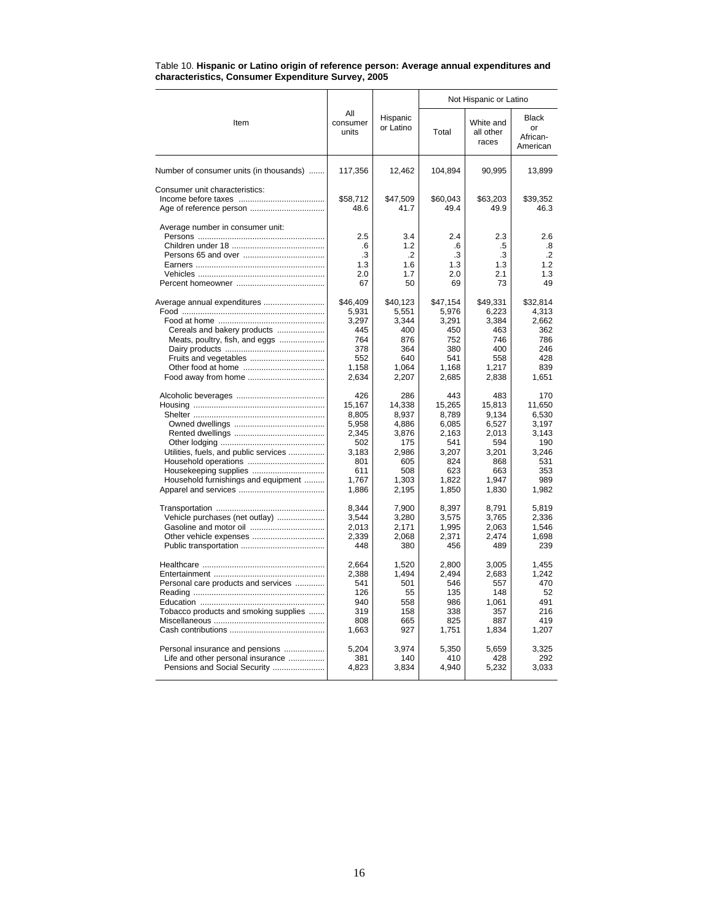|                                         |                                     |                                      | Not Hispanic or Latino              |                                     |                                     |  |  |
|-----------------------------------------|-------------------------------------|--------------------------------------|-------------------------------------|-------------------------------------|-------------------------------------|--|--|
| Item                                    | All<br>consumer<br>units            | Hispanic<br>or Latino                | Total                               | White and<br>all other<br>races     | Black<br>or<br>African-<br>American |  |  |
| Number of consumer units (in thousands) | 117,356                             | 12,462                               | 104,894                             | 90,995                              | 13,899                              |  |  |
| Consumer unit characteristics:          | \$58.712<br>48.6                    | \$47.509<br>41.7                     | \$60.043<br>49.4                    | \$63.203<br>49.9                    | \$39.352<br>46.3                    |  |  |
| Average number in consumer unit:        | 2.5<br>.6<br>.3<br>1.3<br>2.0<br>67 | 3.4<br>1.2<br>.2<br>1.6<br>1.7<br>50 | 2.4<br>.6<br>.3<br>1.3<br>2.0<br>69 | 2.3<br>.5<br>.3<br>1.3<br>2.1<br>73 | 2.6<br>.8<br>.2<br>1.2<br>1.3<br>49 |  |  |
| Average annual expenditures             | \$46,409                            | \$40,123                             | \$47,154                            | \$49,331                            | \$32,814                            |  |  |
|                                         | 5,931                               | 5,551                                | 5,976                               | 6,223                               | 4,313                               |  |  |
|                                         | 3,297                               | 3.344                                | 3,291                               | 3,384                               | 2.662                               |  |  |
| Cereals and bakery products             | 445                                 | 400                                  | 450                                 | 463                                 | 362                                 |  |  |
| Meats, poultry, fish, and eggs          | 764                                 | 876                                  | 752                                 | 746                                 | 786                                 |  |  |
|                                         | 378                                 | 364                                  | 380                                 | 400                                 | 246                                 |  |  |
|                                         | 552                                 | 640                                  | 541                                 | 558                                 | 428                                 |  |  |
|                                         | 1,158                               | 1.064                                | 1.168                               | 1,217                               | 839                                 |  |  |
|                                         | 2,634                               | 2,207                                | 2,685                               | 2,838                               | 1,651                               |  |  |
|                                         | 426                                 | 286                                  | 443                                 | 483                                 | 170                                 |  |  |
|                                         | 15,167                              | 14,338                               | 15,265                              | 15,813                              | 11,650                              |  |  |
|                                         | 8,805                               | 8,937                                | 8,789                               | 9,134                               | 6,530                               |  |  |
|                                         | 5,958                               | 4,886                                | 6,085                               | 6,527                               | 3,197                               |  |  |
|                                         | 2,345                               | 3,876                                | 2,163                               | 2,013                               | 3,143                               |  |  |
|                                         | 502                                 | 175                                  | 541                                 | 594                                 | 190                                 |  |  |
| Utilities, fuels, and public services   | 3,183                               | 2,986                                | 3,207                               | 3,201                               | 3,246                               |  |  |
|                                         | 801                                 | 605                                  | 824                                 | 868                                 | 531                                 |  |  |
| Housekeeping supplies                   | 611                                 | 508                                  | 623                                 | 663                                 | 353                                 |  |  |
| Household furnishings and equipment     | 1,767                               | 1.303                                | 1,822                               | 1,947                               | 989                                 |  |  |
|                                         | 1,886                               | 2,195                                | 1,850                               | 1,830                               | 1,982                               |  |  |
|                                         | 8,344                               | 7,900                                | 8,397                               | 8,791                               | 5,819                               |  |  |
| Vehicle purchases (net outlay)          | 3,544                               | 3,280                                | 3,575                               | 3,765                               | 2.336                               |  |  |
|                                         | 2,013                               | 2,171                                | 1,995                               | 2,063                               | 1,546                               |  |  |
|                                         | 2,339                               | 2,068                                | 2,371                               | 2,474                               | 1,698                               |  |  |
|                                         | 448                                 | 380                                  | 456                                 | 489                                 | 239                                 |  |  |
|                                         | 2.664                               | 1.520                                | 2.800                               | 3.005                               | 1.455                               |  |  |
|                                         | 2,388                               | 1,494                                | 2,494                               | 2,683                               | 1,242                               |  |  |
| Personal care products and services     | 541                                 | 501                                  | 546                                 | 557                                 | 470                                 |  |  |
|                                         | 126                                 | 55                                   | 135                                 | 148                                 | 52                                  |  |  |
|                                         | 940                                 | 558                                  | 986                                 | 1.061                               | 491                                 |  |  |
| Tobacco products and smoking supplies   | 319                                 | 158                                  | 338                                 | 357                                 | 216                                 |  |  |
|                                         | 808                                 | 665                                  | 825                                 | 887                                 | 419                                 |  |  |
|                                         | 1,663                               | 927                                  | 1,751                               | 1,834                               | 1,207                               |  |  |
| Personal insurance and pensions         | 5,204                               | 3,974                                | 5,350                               | 5,659                               | 3,325                               |  |  |
| Life and other personal insurance       | 381                                 | 140                                  | 410                                 | 428                                 | 292                                 |  |  |
| Pensions and Social Security            | 4,823                               | 3,834                                | 4,940                               | 5,232                               | 3,033                               |  |  |

#### Table 10. **Hispanic or Latino origin of reference person: Average annual expenditures and characteristics, Consumer Expenditure Survey, 2005**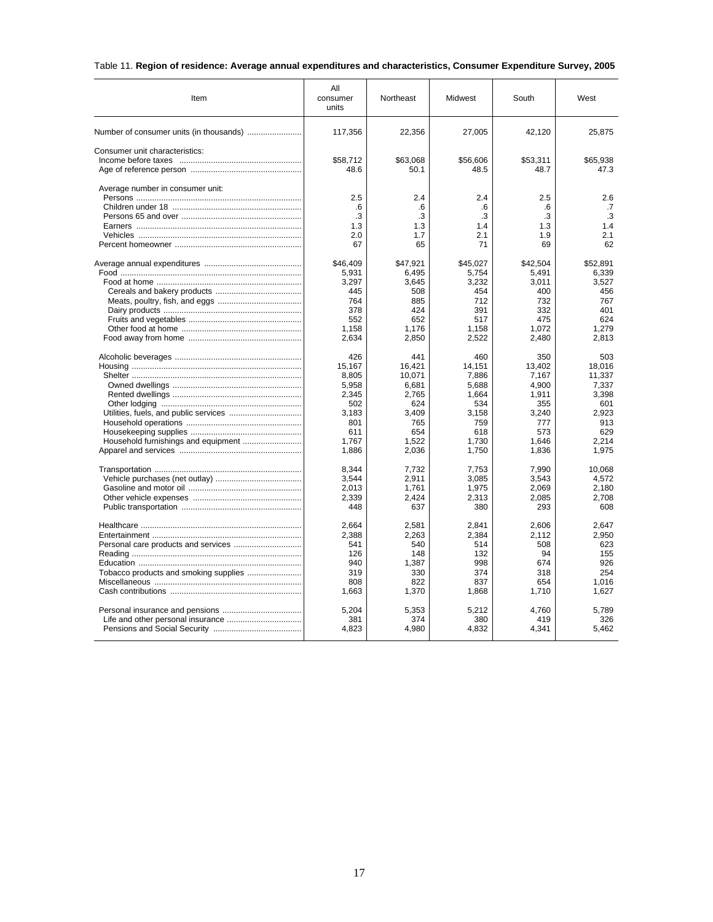## Table 11. **Region of residence: Average annual expenditures and characteristics, Consumer Expenditure Survey, 2005**

| Item                             | All<br>consumer<br>units | Northeast    | Midwest       | South         | West          |
|----------------------------------|--------------------------|--------------|---------------|---------------|---------------|
|                                  | 117,356                  | 22,356       | 27,005        | 42,120        | 25,875        |
| Consumer unit characteristics:   |                          |              |               |               |               |
|                                  | \$58,712                 | \$63,068     | \$56,606      | \$53,311      | \$65,938      |
|                                  | 48.6                     | 50.1         | 48.5          | 48.7          | 47.3          |
| Average number in consumer unit: | 2.5                      | 2.4          | 2.4           | 2.5           | 2.6           |
|                                  | .6                       | .6           | .6            | .6            | .7            |
|                                  | .3                       | .3           | .3            | .3            | .3            |
|                                  | 1.3                      | 1.3          | 1.4           | 1.3           | 1.4           |
|                                  | 2.0                      | 1.7          | 2.1           | 1.9           | 2.1           |
|                                  | 67                       | 65           | 71            | 69            | 62            |
|                                  | \$46,409                 | \$47,921     | \$45,027      | \$42,504      | \$52,891      |
|                                  | 5,931                    | 6,495        | 5,754         | 5,491         | 6,339         |
|                                  | 3,297                    | 3,645        | 3,232         | 3,011         | 3,527         |
|                                  | 445                      | 508          | 454           | 400           | 456           |
|                                  | 764                      | 885          | 712           | 732           | 767           |
|                                  | 378                      | 424          | 391           | 332           | 401           |
|                                  | 552<br>1,158             | 652<br>1,176 | 517<br>1,158  | 475<br>1,072  | 624<br>1,279  |
|                                  | 2,634                    | 2,850        | 2,522         | 2,480         | 2,813         |
|                                  |                          | 441          |               |               |               |
|                                  | 426<br>15,167            | 16,421       | 460<br>14,151 | 350<br>13,402 | 503<br>18,016 |
|                                  | 8,805                    | 10,071       | 7,886         | 7,167         | 11,337        |
|                                  | 5,958                    | 6,681        | 5,688         | 4,900         | 7,337         |
|                                  | 2,345                    | 2,765        | 1,664         | 1,911         | 3,398         |
|                                  | 502                      | 624          | 534           | 355           | 601           |
|                                  | 3,183                    | 3,409        | 3,158         | 3,240         | 2,923         |
|                                  | 801                      | 765          | 759           | 777           | 913           |
|                                  | 611                      | 654          | 618           | 573           | 629           |
|                                  | 1.767                    | 1,522        | 1.730         | 1.646         | 2.214         |
|                                  | 1,886                    | 2,036        | 1,750         | 1,836         | 1,975         |
|                                  | 8.344                    | 7.732        | 7.753         | 7.990         | 10.068        |
|                                  | 3,544                    | 2,911        | 3,085         | 3,543         | 4,572         |
|                                  | 2,013                    | 1.761        | 1,975         | 2.069         | 2.180         |
|                                  | 2,339                    | 2,424        | 2,313         | 2,085         | 2,708         |
|                                  | 448                      | 637          | 380           | 293           | 608           |
|                                  | 2,664                    | 2,581        | 2,841         | 2,606         | 2,647         |
|                                  | 2,388                    | 2,263        | 2,384         | 2,112         | 2,950         |
|                                  | 541                      | 540          | 514           | 508           | 623           |
|                                  | 126                      | 148          | 132           | 94            | 155           |
|                                  | 940                      | 1,387        | 998           | 674           | 926           |
|                                  | 319                      | 330          | 374           | 318           | 254           |
|                                  | 808                      | 822          | 837           | 654           | 1,016         |
|                                  | 1,663                    | 1,370        | 1,868         | 1,710         | 1,627         |
|                                  | 5,204                    | 5,353        | 5,212         | 4,760         | 5,789         |
|                                  | 381                      | 374          | 380           | 419           | 326           |
|                                  | 4,823                    | 4,980        | 4,832         | 4,341         | 5,462         |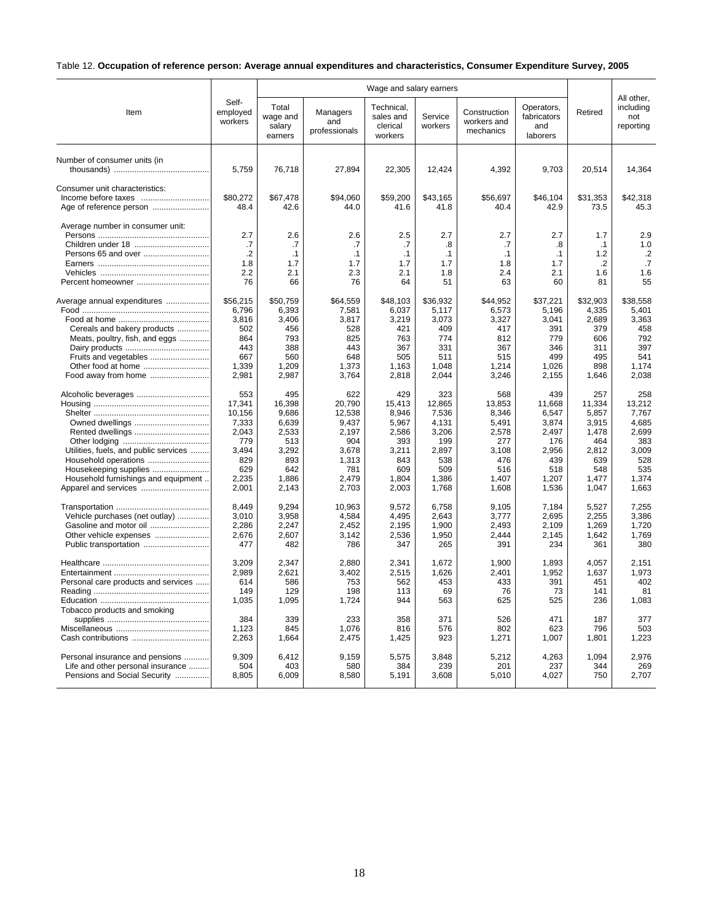## Table 12. **Occupation of reference person: Average annual expenditures and characteristics, Consumer Expenditure Survey, 2005**

|                                                           |                              |                                        |                                  | Wage and salary earners                        |                    |                                          | All other,                                   |                  |                               |
|-----------------------------------------------------------|------------------------------|----------------------------------------|----------------------------------|------------------------------------------------|--------------------|------------------------------------------|----------------------------------------------|------------------|-------------------------------|
| Item                                                      | Self-<br>employed<br>workers | Total<br>wage and<br>salary<br>earners | Managers<br>and<br>professionals | Technical,<br>sales and<br>clerical<br>workers | Service<br>workers | Construction<br>workers and<br>mechanics | Operators,<br>fabricators<br>and<br>laborers | Retired          | including<br>not<br>reporting |
| Number of consumer units (in                              | 5,759                        | 76,718                                 | 27,894                           | 22,305                                         | 12,424             | 4,392                                    | 9,703                                        | 20,514           | 14,364                        |
| Consumer unit characteristics:<br>Age of reference person | \$80,272<br>48.4             | \$67,478<br>42.6                       | \$94,060<br>44.0                 | \$59,200<br>41.6                               | \$43,165<br>41.8   | \$56,697<br>40.4                         | \$46,104<br>42.9                             | \$31,353<br>73.5 | \$42,318<br>45.3              |
| Average number in consumer unit:                          | 2.7                          | 2.6                                    | 2.6                              | 2.5                                            | 2.7                | 2.7                                      | 2.7                                          | 1.7              | 2.9                           |
|                                                           | .7                           | .7                                     | .7                               | .7                                             | .8                 | .7                                       | .8                                           | $\cdot$ 1        | 1.0                           |
|                                                           | $\cdot$                      | $\cdot$ 1                              | $\cdot$ 1                        | $\cdot$ 1                                      | $\cdot$ 1          | $\cdot$ 1                                | .1                                           | 1.2              | $\cdot$ .2                    |
|                                                           | 1.8                          | 1.7                                    | 1.7                              | 1.7                                            | 1.7                | 1.8                                      | 1.7                                          | $\cdot$          | .7                            |
|                                                           | 2.2                          | 2.1                                    | 2.3                              | 2.1                                            | 1.8                | 2.4                                      | 2.1                                          | 1.6              | 1.6                           |
| Percent homeowner                                         | 76                           | 66                                     | 76                               | 64                                             | 51                 | 63                                       | 60                                           | 81               | 55                            |
| Average annual expenditures                               | \$56,215                     | \$50.759                               | \$64,559                         | \$48,103                                       | \$36,932           | \$44,952                                 | \$37,221                                     | \$32,903         | \$38.558                      |
|                                                           | 6,796                        | 6,393                                  | 7,581                            | 6,037                                          | 5,117              | 6,573                                    | 5,196                                        | 4,335            | 5,401                         |
|                                                           | 3,816                        | 3,406                                  | 3,817                            | 3,219                                          | 3,073              | 3,327                                    | 3,041                                        | 2,689            | 3,363                         |
| Cereals and bakery products                               | 502                          | 456                                    | 528                              | 421                                            | 409                | 417                                      | 391                                          | 379              | 458                           |
| Meats, poultry, fish, and eggs                            | 864                          | 793                                    | 825                              | 763                                            | 774                | 812                                      | 779                                          | 606              | 792                           |
|                                                           | 443                          | 388                                    | 443                              | 367                                            | 331                | 367                                      | 346                                          | 311              | 397                           |
|                                                           | 667                          | 560                                    | 648                              | 505                                            | 511                | 515                                      | 499                                          | 495              | 541                           |
|                                                           | 1,339                        | 1,209                                  | 1,373                            | 1,163                                          | 1,048              | 1,214                                    | 1,026                                        | 898              | 1,174                         |
|                                                           | 2,981                        | 2,987                                  | 3,764                            | 2,818                                          | 2,044              | 3,246                                    | 2,155                                        | 1,646            | 2,038                         |
|                                                           | 553                          | 495                                    | 622                              | 429                                            | 323                | 568                                      | 439                                          | 257              | 258                           |
|                                                           | 17,341                       | 16,398                                 | 20,790                           | 15,413                                         | 12,865             | 13,853                                   | 11,668                                       | 11,334           | 13.212                        |
|                                                           | 10,156                       | 9,686                                  | 12,538                           | 8,946                                          | 7,536              | 8,346                                    | 6,547                                        | 5,857            | 7,767                         |
| Owned dwellings                                           | 7,333                        | 6,639                                  | 9.437                            | 5,967                                          | 4.131              | 5,491                                    | 3.874                                        | 3,915            | 4.685                         |
|                                                           | 2,043                        | 2,533                                  | 2,197                            | 2,586                                          | 3,206              | 2,578                                    | 2,497                                        | 1,478            | 2,699                         |
|                                                           | 779                          | 513                                    | 904                              | 393                                            | 199                | 277                                      | 176                                          | 464              | 383                           |
| Utilities, fuels, and public services                     | 3,494                        | 3,292                                  | 3,678                            | 3,211                                          | 2,897              | 3,108                                    | 2,956                                        | 2,812            | 3,009                         |
| Household operations                                      | 829                          | 893                                    | 1,313                            | 843                                            | 538                | 476                                      | 439                                          | 639              | 528                           |
| Housekeeping supplies                                     | 629                          | 642                                    | 781                              | 609                                            | 509                | 516                                      | 518                                          | 548              | 535                           |
| Household furnishings and equipment                       | 2,235                        | 1,886                                  | 2,479                            | 1,804                                          | 1,386              | 1,407                                    | 1,207                                        | 1,477            | 1,374                         |
| Apparel and services                                      | 2,001                        | 2,143                                  | 2,703                            | 2,003                                          | 1,768              | 1,608                                    | 1,536                                        | 1,047            | 1,663                         |
|                                                           | 8,449                        | 9,294                                  | 10,963                           | 9,572                                          | 6,758              | 9,105                                    | 7,184                                        | 5,527            | 7,255                         |
| Vehicle purchases (net outlay)                            | 3,010                        | 3,958                                  | 4,584                            | 4,495                                          | 2,643              | 3,777                                    | 2,695                                        | 2,255            | 3,386                         |
| Gasoline and motor oil                                    | 2,286                        | 2,247                                  | 2,452                            | 2,195                                          | 1,900              | 2,493                                    | 2,109                                        | 1,269            | 1,720                         |
| Other vehicle expenses                                    | 2,676                        | 2,607                                  | 3,142                            | 2,536                                          | 1,950              | 2,444                                    | 2,145                                        | 1,642            | 1,769                         |
| Public transportation                                     | 477                          | 482                                    | 786                              | 347                                            | 265                | 391                                      | 234                                          | 361              | 380                           |
|                                                           |                              |                                        |                                  |                                                |                    |                                          |                                              |                  |                               |
|                                                           | 3,209                        | 2,347                                  | 2,880                            | 2,341                                          | 1,672              | 1,900                                    | 1,893                                        | 4,057            | 2,151                         |
|                                                           | 2,989                        | 2,621                                  | 3,402                            | 2,515                                          | 1,626              | 2,401                                    | 1,952                                        | 1,637            | 1,973                         |
| Personal care products and services                       | 614                          | 586                                    | 753                              | 562                                            | 453                | 433                                      | 391                                          | 451              | 402                           |
|                                                           | 149                          | 129                                    | 198                              | 113                                            | 69                 | 76                                       | 73                                           | 141              | 81                            |
|                                                           | 1,035                        | 1,095                                  | 1,724                            | 944                                            | 563                | 625                                      | 525                                          | 236              | 1,083                         |
| Tobacco products and smoking                              | 384                          |                                        | 233                              |                                                | 371                | 526                                      | 471                                          | 187              | 377                           |
|                                                           |                              | 339                                    |                                  | 358                                            |                    |                                          |                                              |                  |                               |
|                                                           | 1,123                        | 845                                    | 1,076                            | 816                                            | 576                | 802                                      | 623                                          | 796              | 503                           |
|                                                           | 2,263                        | 1,664                                  | 2,475                            | 1,425                                          | 923                | 1,271                                    | 1,007                                        | 1,801            | 1,223                         |
| Personal insurance and pensions                           | 9.309                        | 6,412                                  | 9,159                            | 5,575                                          | 3.848              | 5,212                                    | 4,263                                        | 1,094            | 2,976                         |
| Life and other personal insurance                         | 504                          | 403                                    | 580                              | 384                                            | 239                | 201                                      | 237                                          | 344              | 269                           |
| Pensions and Social Security                              | 8,805                        | 6,009                                  | 8,580                            | 5,191                                          | 3,608              | 5,010                                    | 4,027                                        | 750              | 2,707                         |
|                                                           |                              |                                        |                                  |                                                |                    |                                          |                                              |                  |                               |